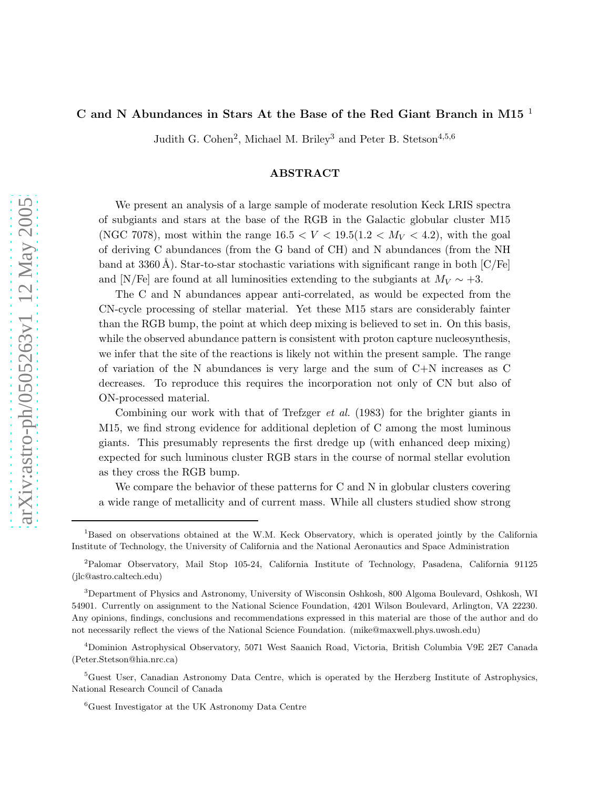# C and N Abundances in Stars At the Base of the Red Giant Branch in M15 <sup>1</sup>

Judith G. Cohen<sup>2</sup>, Michael M. Briley<sup>3</sup> and Peter B. Stetson<sup>4,5,6</sup>

# ABSTRACT

We present an analysis of a large sample of moderate resolution Keck LRIS spectra of subgiants and stars at the base of the RGB in the Galactic globular cluster M15 (NGC 7078), most within the range  $16.5 < V < 19.5(1.2 < M_V < 4.2)$ , with the goal of deriving C abundances (from the G band of CH) and N abundances (from the NH band at 3360 Å). Star-to-star stochastic variations with significant range in both  $\left[\text{C/Fe}\right]$ and [N/Fe] are found at all luminosities extending to the subgiants at  $M_V \sim +3$ .

The C and N abundances appear anti-correlated, as would be expected from the CN-cycle processing of stellar material. Yet these M15 stars are considerably fainter than the RGB bump, the point at which deep mixing is believed to set in. On this basis, while the observed abundance pattern is consistent with proton capture nucleosynthesis, we infer that the site of the reactions is likely not within the present sample. The range of variation of the N abundances is very large and the sum of C+N increases as C decreases. To reproduce this requires the incorporation not only of CN but also of ON-processed material.

Combining our work with that of Trefzger *et al.* (1983) for the brighter giants in M15, we find strong evidence for additional depletion of C among the most luminous giants. This presumably represents the first dredge up (with enhanced deep mixing) expected for such luminous cluster RGB stars in the course of normal stellar evolution as they cross the RGB bump.

We compare the behavior of these patterns for C and N in globular clusters covering a wide range of metallicity and of current mass. While all clusters studied show strong

<sup>&</sup>lt;sup>1</sup>Based on observations obtained at the W.M. Keck Observatory, which is operated jointly by the California Institute of Technology, the University of California and the National Aeronautics and Space Administration

<sup>2</sup>Palomar Observatory, Mail Stop 105-24, California Institute of Technology, Pasadena, California 91125 (jlc@astro.caltech.edu)

<sup>3</sup>Department of Physics and Astronomy, University of Wisconsin Oshkosh, 800 Algoma Boulevard, Oshkosh, WI 54901. Currently on assignment to the National Science Foundation, 4201 Wilson Boulevard, Arlington, VA 22230. Any opinions, findings, conclusions and recommendations expressed in this material are those of the author and do not necessarily reflect the views of the National Science Foundation. (mike@maxwell.phys.uwosh.edu)

<sup>4</sup>Dominion Astrophysical Observatory, 5071 West Saanich Road, Victoria, British Columbia V9E 2E7 Canada (Peter.Stetson@hia.nrc.ca)

<sup>5</sup>Guest User, Canadian Astronomy Data Centre, which is operated by the Herzberg Institute of Astrophysics, National Research Council of Canada

 $^6\rm{Guest}$  Investigator at the UK Astronomy Data Centre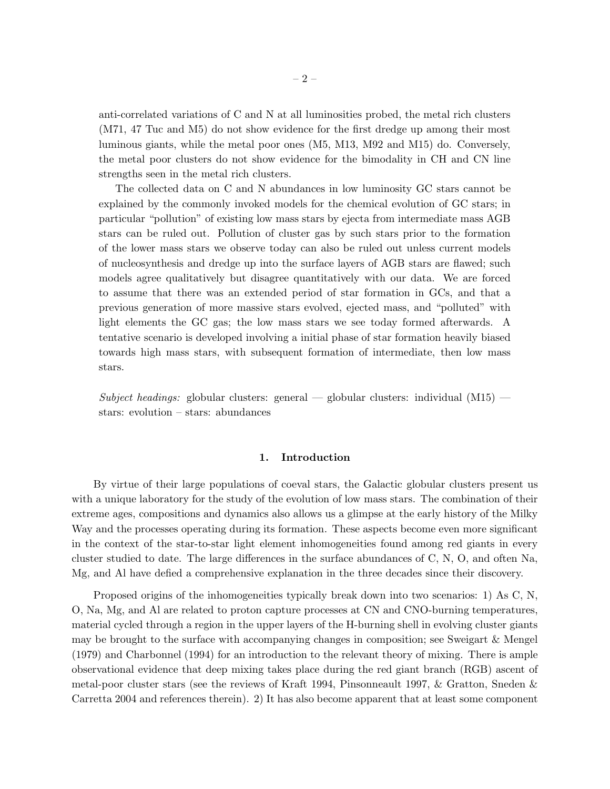anti-correlated variations of C and N at all luminosities probed, the metal rich clusters (M71, 47 Tuc and M5) do not show evidence for the first dredge up among their most luminous giants, while the metal poor ones (M5, M13, M92 and M15) do. Conversely, the metal poor clusters do not show evidence for the bimodality in CH and CN line strengths seen in the metal rich clusters.

The collected data on C and N abundances in low luminosity GC stars cannot be explained by the commonly invoked models for the chemical evolution of GC stars; in particular "pollution" of existing low mass stars by ejecta from intermediate mass AGB stars can be ruled out. Pollution of cluster gas by such stars prior to the formation of the lower mass stars we observe today can also be ruled out unless current models of nucleosynthesis and dredge up into the surface layers of AGB stars are flawed; such models agree qualitatively but disagree quantitatively with our data. We are forced to assume that there was an extended period of star formation in GCs, and that a previous generation of more massive stars evolved, ejected mass, and "polluted" with light elements the GC gas; the low mass stars we see today formed afterwards. A tentative scenario is developed involving a initial phase of star formation heavily biased towards high mass stars, with subsequent formation of intermediate, then low mass stars.

*Subject headings:* globular clusters: general — globular clusters: individual (M15) stars: evolution – stars: abundances

## 1. Introduction

By virtue of their large populations of coeval stars, the Galactic globular clusters present us with a unique laboratory for the study of the evolution of low mass stars. The combination of their extreme ages, compositions and dynamics also allows us a glimpse at the early history of the Milky Way and the processes operating during its formation. These aspects become even more significant in the context of the star-to-star light element inhomogeneities found among red giants in every cluster studied to date. The large differences in the surface abundances of C, N, O, and often Na, Mg, and Al have defied a comprehensive explanation in the three decades since their discovery.

Proposed origins of the inhomogeneities typically break down into two scenarios: 1) As C, N, O, Na, Mg, and Al are related to proton capture processes at CN and CNO-burning temperatures, material cycled through a region in the upper layers of the H-burning shell in evolving cluster giants may be brought to the surface with accompanying changes in composition; see Sweigart & Mengel (1979) and Charbonnel (1994) for an introduction to the relevant theory of mixing. There is ample observational evidence that deep mixing takes place during the red giant branch (RGB) ascent of metal-poor cluster stars (see the reviews of Kraft 1994, Pinsonneault 1997, & Gratton, Sneden & Carretta 2004 and references therein). 2) It has also become apparent that at least some component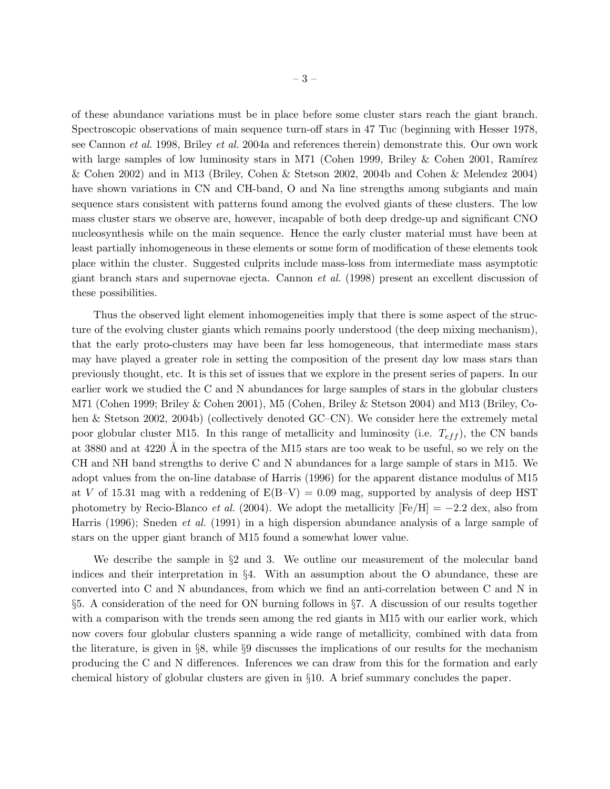of these abundance variations must be in place before some cluster stars reach the giant branch. Spectroscopic observations of main sequence turn-off stars in 47 Tuc (beginning with Hesser 1978, see Cannon *et al.* 1998, Briley *et al.* 2004a and references therein) demonstrate this. Our own work with large samples of low luminosity stars in M71 (Cohen 1999, Briley & Cohen 2001, Ramírez & Cohen 2002) and in M13 (Briley, Cohen & Stetson 2002, 2004b and Cohen & Melendez 2004) have shown variations in CN and CH-band, O and Na line strengths among subgiants and main sequence stars consistent with patterns found among the evolved giants of these clusters. The low mass cluster stars we observe are, however, incapable of both deep dredge-up and significant CNO nucleosynthesis while on the main sequence. Hence the early cluster material must have been at least partially inhomogeneous in these elements or some form of modification of these elements took place within the cluster. Suggested culprits include mass-loss from intermediate mass asymptotic giant branch stars and supernovae ejecta. Cannon *et al.* (1998) present an excellent discussion of these possibilities.

Thus the observed light element inhomogeneities imply that there is some aspect of the structure of the evolving cluster giants which remains poorly understood (the deep mixing mechanism), that the early proto-clusters may have been far less homogeneous, that intermediate mass stars may have played a greater role in setting the composition of the present day low mass stars than previously thought, etc. It is this set of issues that we explore in the present series of papers. In our earlier work we studied the C and N abundances for large samples of stars in the globular clusters M71 (Cohen 1999; Briley & Cohen 2001), M5 (Cohen, Briley & Stetson 2004) and M13 (Briley, Cohen & Stetson 2002, 2004b) (collectively denoted GC–CN). We consider here the extremely metal poor globular cluster M15. In this range of metallicity and luminosity (i.e.  $T_{eff}$ ), the CN bands at 3880 and at 4220  $\AA$  in the spectra of the M15 stars are too weak to be useful, so we rely on the CH and NH band strengths to derive C and N abundances for a large sample of stars in M15. We adopt values from the on-line database of Harris (1996) for the apparent distance modulus of M15 at V of 15.31 mag with a reddening of  $E(B-V) = 0.09$  mag, supported by analysis of deep HST photometry by Recio-Blanco *et al.* (2004). We adopt the metallicity  $[Fe/H] = -2.2$  dex, also from Harris (1996); Sneden *et al.* (1991) in a high dispersion abundance analysis of a large sample of stars on the upper giant branch of M15 found a somewhat lower value.

We describe the sample in §2 and 3. We outline our measurement of the molecular band indices and their interpretation in §4. With an assumption about the O abundance, these are converted into C and N abundances, from which we find an anti-correlation between C and N in §5. A consideration of the need for ON burning follows in §7. A discussion of our results together with a comparison with the trends seen among the red giants in M15 with our earlier work, which now covers four globular clusters spanning a wide range of metallicity, combined with data from the literature, is given in §8, while §9 discusses the implications of our results for the mechanism producing the C and N differences. Inferences we can draw from this for the formation and early chemical history of globular clusters are given in §10. A brief summary concludes the paper.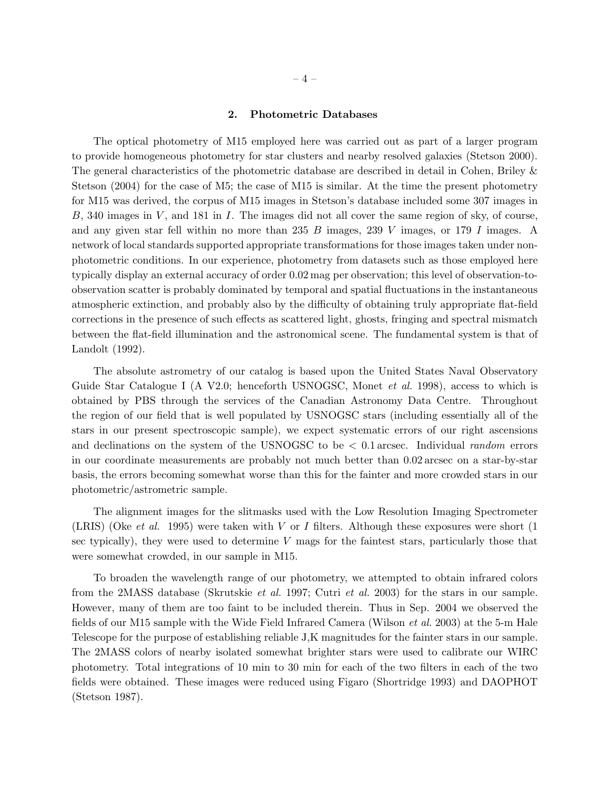### 2. Photometric Databases

The optical photometry of M15 employed here was carried out as part of a larger program to provide homogeneous photometry for star clusters and nearby resolved galaxies (Stetson 2000). The general characteristics of the photometric database are described in detail in Cohen, Briley & Stetson (2004) for the case of M5; the case of M15 is similar. At the time the present photometry for M15 was derived, the corpus of M15 images in Stetson's database included some 307 images in  $B$ , 340 images in  $V$ , and 181 in  $I$ . The images did not all cover the same region of sky, of course, and any given star fell within no more than 235 B images, 239 V images, or 179 I images. A network of local standards supported appropriate transformations for those images taken under nonphotometric conditions. In our experience, photometry from datasets such as those employed here typically display an external accuracy of order 0.02 mag per observation; this level of observation-toobservation scatter is probably dominated by temporal and spatial fluctuations in the instantaneous atmospheric extinction, and probably also by the difficulty of obtaining truly appropriate flat-field corrections in the presence of such effects as scattered light, ghosts, fringing and spectral mismatch between the flat-field illumination and the astronomical scene. The fundamental system is that of Landolt (1992).

The absolute astrometry of our catalog is based upon the United States Naval Observatory Guide Star Catalogue I (A V2.0; henceforth USNOGSC, Monet *et al.* 1998), access to which is obtained by PBS through the services of the Canadian Astronomy Data Centre. Throughout the region of our field that is well populated by USNOGSC stars (including essentially all of the stars in our present spectroscopic sample), we expect systematic errors of our right ascensions and declinations on the system of the USNOGSC to be < 0.1 arcsec. Individual *random* errors in our coordinate measurements are probably not much better than 0.02 arcsec on a star-by-star basis, the errors becoming somewhat worse than this for the fainter and more crowded stars in our photometric/astrometric sample.

The alignment images for the slitmasks used with the Low Resolution Imaging Spectrometer (LRIS) (Oke *et al.* 1995) were taken with V or I filters. Although these exposures were short (1 sec typically), they were used to determine  $V$  mags for the faintest stars, particularly those that were somewhat crowded, in our sample in M15.

To broaden the wavelength range of our photometry, we attempted to obtain infrared colors from the 2MASS database (Skrutskie *et al.* 1997; Cutri *et al.* 2003) for the stars in our sample. However, many of them are too faint to be included therein. Thus in Sep. 2004 we observed the fields of our M15 sample with the Wide Field Infrared Camera (Wilson *et al.* 2003) at the 5-m Hale Telescope for the purpose of establishing reliable J,K magnitudes for the fainter stars in our sample. The 2MASS colors of nearby isolated somewhat brighter stars were used to calibrate our WIRC photometry. Total integrations of 10 min to 30 min for each of the two filters in each of the two fields were obtained. These images were reduced using Figaro (Shortridge 1993) and DAOPHOT (Stetson 1987).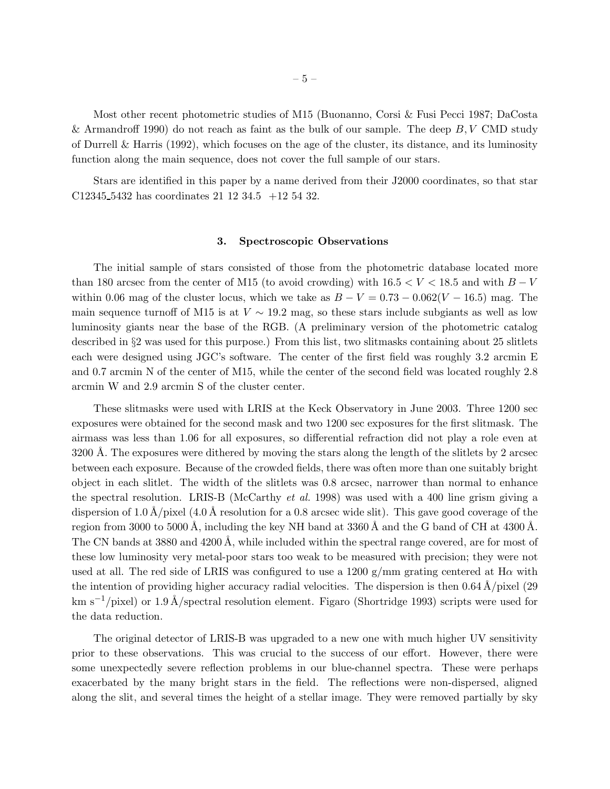Most other recent photometric studies of M15 (Buonanno, Corsi & Fusi Pecci 1987; DaCosta & Armandroff 1990) do not reach as faint as the bulk of our sample. The deep  $B, V$  CMD study of Durrell & Harris  $(1992)$ , which focuses on the age of the cluster, its distance, and its luminosity function along the main sequence, does not cover the full sample of our stars.

Stars are identified in this paper by a name derived from their J2000 coordinates, so that star C12345 5432 has coordinates 21 12 34.5 +12 54 32.

### 3. Spectroscopic Observations

The initial sample of stars consisted of those from the photometric database located more than 180 arcsec from the center of M15 (to avoid crowding) with  $16.5 < V < 18.5$  and with  $B-V$ within 0.06 mag of the cluster locus, which we take as  $B - V = 0.73 - 0.062(V - 16.5)$  mag. The main sequence turnoff of M15 is at  $V \sim 19.2$  mag, so these stars include subgiants as well as low luminosity giants near the base of the RGB. (A preliminary version of the photometric catalog described in §2 was used for this purpose.) From this list, two slitmasks containing about 25 slitlets each were designed using JGC's software. The center of the first field was roughly 3.2 arcmin E and 0.7 arcmin N of the center of M15, while the center of the second field was located roughly 2.8 arcmin W and 2.9 arcmin S of the cluster center.

These slitmasks were used with LRIS at the Keck Observatory in June 2003. Three 1200 sec exposures were obtained for the second mask and two 1200 sec exposures for the first slitmask. The airmass was less than 1.06 for all exposures, so differential refraction did not play a role even at  $3200 \text{ Å}$ . The exposures were dithered by moving the stars along the length of the slitlets by 2 arcsec between each exposure. Because of the crowded fields, there was often more than one suitably bright object in each slitlet. The width of the slitlets was 0.8 arcsec, narrower than normal to enhance the spectral resolution. LRIS-B (McCarthy *et al.* 1998) was used with a 400 line grism giving a dispersion of  $1.0 \text{ A/pixel}$  (4.0 Å resolution for a 0.8 arcsec wide slit). This gave good coverage of the region from 3000 to 5000 Å, including the key NH band at 3360 Å and the G band of CH at  $4300$  Å. The CN bands at  $3880$  and  $4200$  Å, while included within the spectral range covered, are for most of these low luminosity very metal-poor stars too weak to be measured with precision; they were not used at all. The red side of LRIS was configured to use a 1200 g/mm grating centered at H $\alpha$  with the intention of providing higher accuracy radial velocities. The dispersion is then  $0.64 \text{ Å/pixel}$  (29) km s<sup>-1</sup>/pixel) or 1.9 Å/spectral resolution element. Figaro (Shortridge 1993) scripts were used for the data reduction.

The original detector of LRIS-B was upgraded to a new one with much higher UV sensitivity prior to these observations. This was crucial to the success of our effort. However, there were some unexpectedly severe reflection problems in our blue-channel spectra. These were perhaps exacerbated by the many bright stars in the field. The reflections were non-dispersed, aligned along the slit, and several times the height of a stellar image. They were removed partially by sky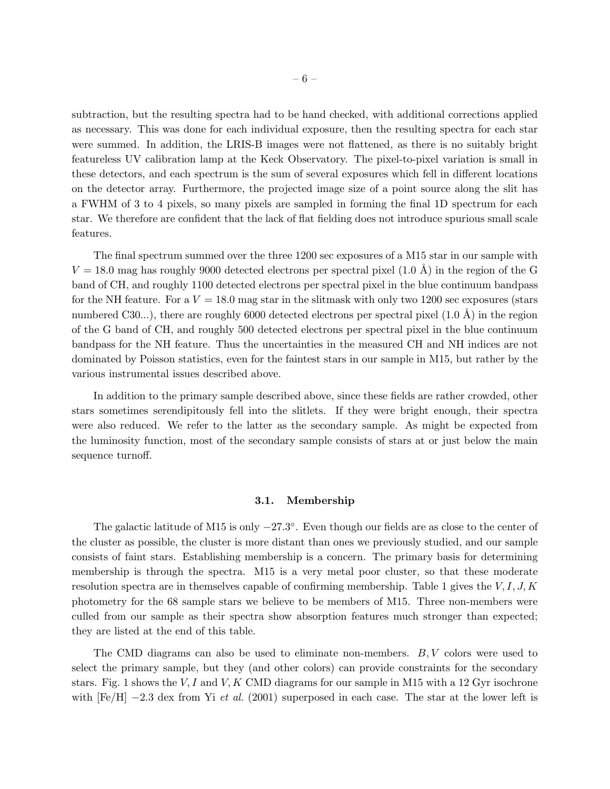subtraction, but the resulting spectra had to be hand checked, with additional corrections applied as necessary. This was done for each individual exposure, then the resulting spectra for each star were summed. In addition, the LRIS-B images were not flattened, as there is no suitably bright featureless UV calibration lamp at the Keck Observatory. The pixel-to-pixel variation is small in these detectors, and each spectrum is the sum of several exposures which fell in different locations on the detector array. Furthermore, the projected image size of a point source along the slit has a FWHM of 3 to 4 pixels, so many pixels are sampled in forming the final 1D spectrum for each star. We therefore are confident that the lack of flat fielding does not introduce spurious small scale features.

The final spectrum summed over the three 1200 sec exposures of a M15 star in our sample with  $V = 18.0$  mag has roughly 9000 detected electrons per spectral pixel  $(1.0 \text{ Å})$  in the region of the G band of CH, and roughly 1100 detected electrons per spectral pixel in the blue continuum bandpass for the NH feature. For a  $V = 18.0$  mag star in the slitmask with only two 1200 sec exposures (stars numbered C30...), there are roughly 6000 detected electrons per spectral pixel  $(1.0 \text{ Å})$  in the region of the G band of CH, and roughly 500 detected electrons per spectral pixel in the blue continuum bandpass for the NH feature. Thus the uncertainties in the measured CH and NH indices are not dominated by Poisson statistics, even for the faintest stars in our sample in M15, but rather by the various instrumental issues described above.

In addition to the primary sample described above, since these fields are rather crowded, other stars sometimes serendipitously fell into the slitlets. If they were bright enough, their spectra were also reduced. We refer to the latter as the secondary sample. As might be expected from the luminosity function, most of the secondary sample consists of stars at or just below the main sequence turnoff.

### 3.1. Membership

The galactic latitude of M15 is only  $-27.3^{\circ}$ . Even though our fields are as close to the center of the cluster as possible, the cluster is more distant than ones we previously studied, and our sample consists of faint stars. Establishing membership is a concern. The primary basis for determining membership is through the spectra. M15 is a very metal poor cluster, so that these moderate resolution spectra are in themselves capable of confirming membership. Table 1 gives the  $V, I, J, K$ photometry for the 68 sample stars we believe to be members of M15. Three non-members were culled from our sample as their spectra show absorption features much stronger than expected; they are listed at the end of this table.

The CMD diagrams can also be used to eliminate non-members.  $B, V$  colors were used to select the primary sample, but they (and other colors) can provide constraints for the secondary stars. Fig. 1 shows the  $V, I$  and  $V, K$  CMD diagrams for our sample in M15 with a 12 Gyr isochrone with [Fe/H] −2.3 dex from Yi *et al.* (2001) superposed in each case. The star at the lower left is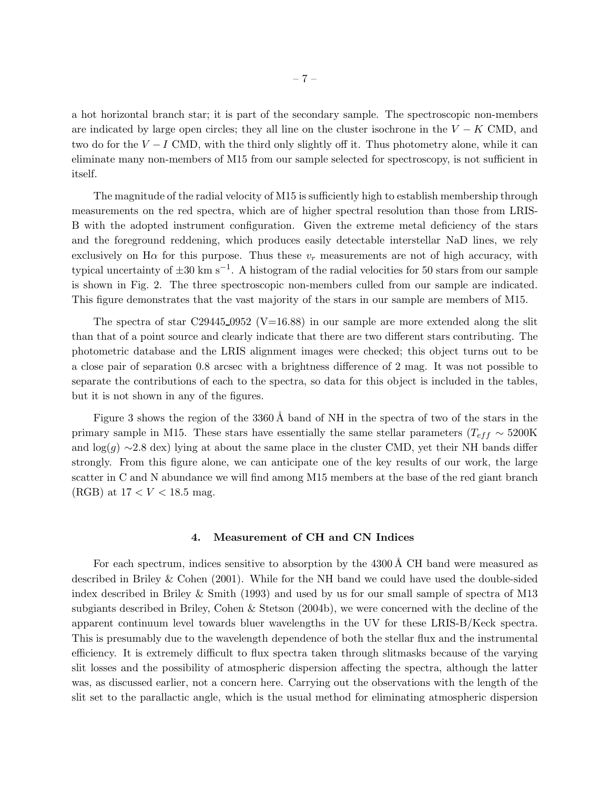a hot horizontal branch star; it is part of the secondary sample. The spectroscopic non-members are indicated by large open circles; they all line on the cluster isochrone in the  $V - K$  CMD, and two do for the  $V - I$  CMD, with the third only slightly off it. Thus photometry alone, while it can eliminate many non-members of M15 from our sample selected for spectroscopy, is not sufficient in itself.

The magnitude of the radial velocity of M15 is sufficiently high to establish membership through measurements on the red spectra, which are of higher spectral resolution than those from LRIS-B with the adopted instrument configuration. Given the extreme metal deficiency of the stars and the foreground reddening, which produces easily detectable interstellar NaD lines, we rely exclusively on H $\alpha$  for this purpose. Thus these  $v_r$  measurements are not of high accuracy, with typical uncertainty of  $\pm 30 \text{ km s}^{-1}$ . A histogram of the radial velocities for 50 stars from our sample is shown in Fig. 2. The three spectroscopic non-members culled from our sample are indicated. This figure demonstrates that the vast majority of the stars in our sample are members of M15.

The spectra of star C29445 0952 (V=16.88) in our sample are more extended along the slit than that of a point source and clearly indicate that there are two different stars contributing. The photometric database and the LRIS alignment images were checked; this object turns out to be a close pair of separation 0.8 arcsec with a brightness difference of 2 mag. It was not possible to separate the contributions of each to the spectra, so data for this object is included in the tables, but it is not shown in any of the figures.

Figure 3 shows the region of the  $3360 \text{\AA}$  band of NH in the spectra of two of the stars in the primary sample in M15. These stars have essentially the same stellar parameters ( $T_{eff} \sim 5200$ K and log(g)  $\sim$ 2.8 dex) lying at about the same place in the cluster CMD, yet their NH bands differ strongly. From this figure alone, we can anticipate one of the key results of our work, the large scatter in C and N abundance we will find among M15 members at the base of the red giant branch (RGB) at  $17 < V < 18.5$  mag.

## 4. Measurement of CH and CN Indices

For each spectrum, indices sensitive to absorption by the  $4300 \text{ Å}$  CH band were measured as described in Briley & Cohen (2001). While for the NH band we could have used the double-sided index described in Briley & Smith (1993) and used by us for our small sample of spectra of M13 subgiants described in Briley, Cohen & Stetson (2004b), we were concerned with the decline of the apparent continuum level towards bluer wavelengths in the UV for these LRIS-B/Keck spectra. This is presumably due to the wavelength dependence of both the stellar flux and the instrumental efficiency. It is extremely difficult to flux spectra taken through slitmasks because of the varying slit losses and the possibility of atmospheric dispersion affecting the spectra, although the latter was, as discussed earlier, not a concern here. Carrying out the observations with the length of the slit set to the parallactic angle, which is the usual method for eliminating atmospheric dispersion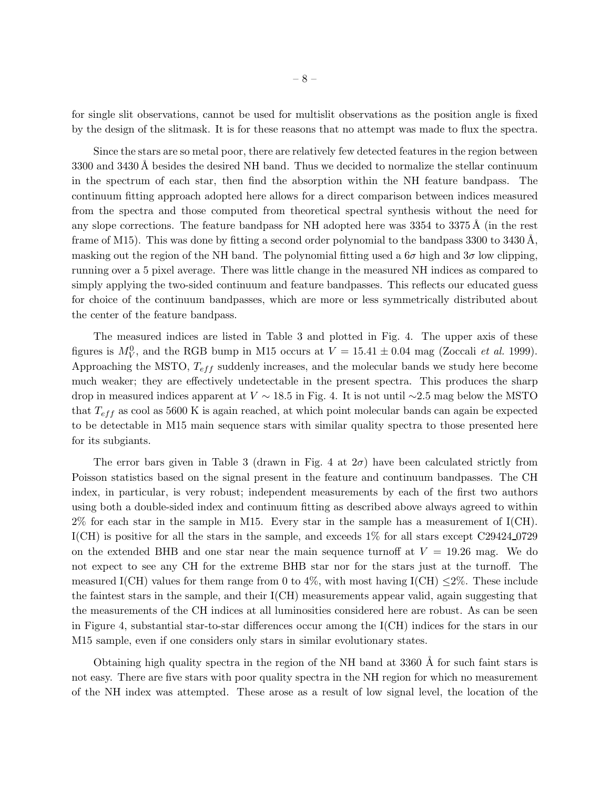for single slit observations, cannot be used for multislit observations as the position angle is fixed by the design of the slitmask. It is for these reasons that no attempt was made to flux the spectra.

Since the stars are so metal poor, there are relatively few detected features in the region between 3300 and 3430 Å besides the desired NH band. Thus we decided to normalize the stellar continuum in the spectrum of each star, then find the absorption within the NH feature bandpass. The continuum fitting approach adopted here allows for a direct comparison between indices measured from the spectra and those computed from theoretical spectral synthesis without the need for any slope corrections. The feature bandpass for NH adopted here was  $3354$  to  $3375\text{\AA}$  (in the rest frame of M15). This was done by fitting a second order polynomial to the bandpass  $3300$  to  $3430 \text{ Å}$ , masking out the region of the NH band. The polynomial fitting used a  $6\sigma$  high and  $3\sigma$  low clipping, running over a 5 pixel average. There was little change in the measured NH indices as compared to simply applying the two-sided continuum and feature bandpasses. This reflects our educated guess for choice of the continuum bandpasses, which are more or less symmetrically distributed about the center of the feature bandpass.

The measured indices are listed in Table 3 and plotted in Fig. 4. The upper axis of these figures is  $M_V^0$ , and the RGB bump in M15 occurs at  $V = 15.41 \pm 0.04$  mag (Zoccali *et al.* 1999). Approaching the MSTO,  $T_{eff}$  suddenly increases, and the molecular bands we study here become much weaker; they are effectively undetectable in the present spectra. This produces the sharp drop in measured indices apparent at  $V \sim 18.5$  in Fig. 4. It is not until ∼2.5 mag below the MSTO that  $T_{eff}$  as cool as 5600 K is again reached, at which point molecular bands can again be expected to be detectable in M15 main sequence stars with similar quality spectra to those presented here for its subgiants.

The error bars given in Table 3 (drawn in Fig. 4 at  $2\sigma$ ) have been calculated strictly from Poisson statistics based on the signal present in the feature and continuum bandpasses. The CH index, in particular, is very robust; independent measurements by each of the first two authors using both a double-sided index and continuum fitting as described above always agreed to within  $2\%$  for each star in the sample in M15. Every star in the sample has a measurement of I(CH). I(CH) is positive for all the stars in the sample, and exceeds 1% for all stars except C29424 0729 on the extended BHB and one star near the main sequence turnoff at  $V = 19.26$  mag. We do not expect to see any CH for the extreme BHB star nor for the stars just at the turnoff. The measured I(CH) values for them range from 0 to 4%, with most having I(CH)  $\leq$ 2%. These include the faintest stars in the sample, and their I(CH) measurements appear valid, again suggesting that the measurements of the CH indices at all luminosities considered here are robust. As can be seen in Figure 4, substantial star-to-star differences occur among the I(CH) indices for the stars in our M15 sample, even if one considers only stars in similar evolutionary states.

Obtaining high quality spectra in the region of the NH band at  $3360 \text{ Å}$  for such faint stars is not easy. There are five stars with poor quality spectra in the NH region for which no measurement of the NH index was attempted. These arose as a result of low signal level, the location of the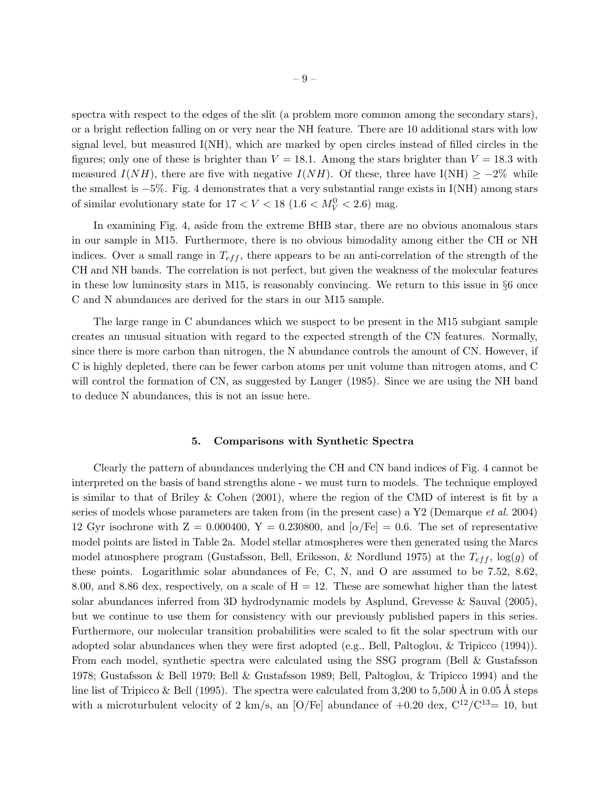spectra with respect to the edges of the slit (a problem more common among the secondary stars), or a bright reflection falling on or very near the NH feature. There are 10 additional stars with low signal level, but measured I(NH), which are marked by open circles instead of filled circles in the figures; only one of these is brighter than  $V = 18.1$ . Among the stars brighter than  $V = 18.3$  with measured  $I(NH)$ , there are five with negative  $I(NH)$ . Of these, three have I(NH)  $\geq -2\%$  while the smallest is  $-5\%$ . Fig. 4 demonstrates that a very substantial range exists in I(NH) among stars % of similar evolutionary state for  $17 < V < 18$  (1.6  $< M_V^0 < 2.6$ ) mag.

In examining Fig. 4, aside from the extreme BHB star, there are no obvious anomalous stars in our sample in M15. Furthermore, there is no obvious bimodality among either the CH or NH indices. Over a small range in  $T_{eff}$ , there appears to be an anti-correlation of the strength of the CH and NH bands. The correlation is not perfect, but given the weakness of the molecular features in these low luminosity stars in M15, is reasonably convincing. We return to this issue in  $\S6$  once C and N abundances are derived for the stars in our M15 sample.

The large range in C abundances which we suspect to be present in the M15 subgiant sample creates an unusual situation with regard to the expected strength of the CN features. Normally, since there is more carbon than nitrogen, the N abundance controls the amount of CN. However, if C is highly depleted, there can be fewer carbon atoms per unit volume than nitrogen atoms, and C will control the formation of CN, as suggested by Langer (1985). Since we are using the NH band to deduce N abundances, this is not an issue here.

### 5. Comparisons with Synthetic Spectra

Clearly the pattern of abundances underlying the CH and CN band indices of Fig. 4 cannot be interpreted on the basis of band strengths alone - we must turn to models. The technique employed is similar to that of Briley & Cohen (2001), where the region of the CMD of interest is fit by a series of models whose parameters are taken from (in the present case) a Y2 (Demarque *et al.* 2004) 12 Gyr isochrone with  $Z = 0.000400$ ,  $Y = 0.230800$ , and  $\alpha$ /Fe] = 0.6. The set of representative model points are listed in Table 2a. Model stellar atmospheres were then generated using the Marcs model atmosphere program (Gustafsson, Bell, Eriksson, & Nordlund 1975) at the  $T_{eff}$ , log(g) of these points. Logarithmic solar abundances of Fe, C, N, and O are assumed to be 7.52, 8.62, 8.00, and 8.86 dex, respectively, on a scale of  $H = 12$ . These are somewhat higher than the latest solar abundances inferred from 3D hydrodynamic models by Asplund, Grevesse & Sauval (2005), but we continue to use them for consistency with our previously published papers in this series. Furthermore, our molecular transition probabilities were scaled to fit the solar spectrum with our adopted solar abundances when they were first adopted (e.g., Bell, Paltoglou, & Tripicco (1994)). From each model, synthetic spectra were calculated using the SSG program (Bell & Gustafsson 1978; Gustafsson & Bell 1979; Bell & Gustafsson 1989; Bell, Paltoglou, & Tripicco 1994) and the line list of Tripicco & Bell (1995). The spectra were calculated from 3,200 to 5,500 Å in 0.05 Å steps with a microturbulent velocity of 2 km/s, an [O/Fe] abundance of  $+0.20$  dex,  $C^{12}/C^{13}= 10$ , but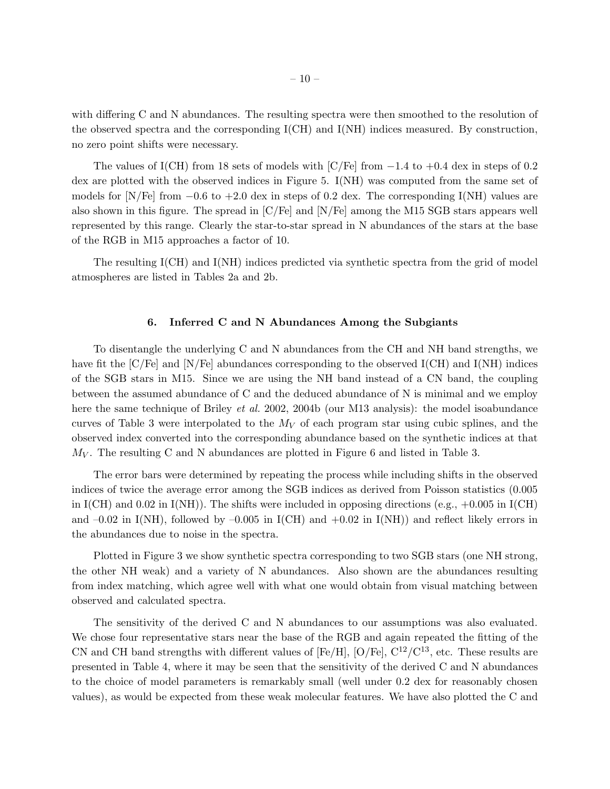with differing C and N abundances. The resulting spectra were then smoothed to the resolution of the observed spectra and the corresponding I(CH) and I(NH) indices measured. By construction, no zero point shifts were necessary.

The values of I(CH) from 18 sets of models with [C/Fe] from  $-1.4$  to  $+0.4$  dex in steps of 0.2 dex are plotted with the observed indices in Figure 5. I(NH) was computed from the same set of models for [N/Fe] from  $-0.6$  to  $+2.0$  dex in steps of 0.2 dex. The corresponding I(NH) values are also shown in this figure. The spread in  $\lfloor C/Fe \rfloor$  and  $\lfloor N/Fe \rfloor$  among the M15 SGB stars appears well represented by this range. Clearly the star-to-star spread in N abundances of the stars at the base of the RGB in M15 approaches a factor of 10.

The resulting I(CH) and I(NH) indices predicted via synthetic spectra from the grid of model atmospheres are listed in Tables 2a and 2b.

## 6. Inferred C and N Abundances Among the Subgiants

To disentangle the underlying C and N abundances from the CH and NH band strengths, we have fit the  $\langle C/Fe|$  and  $\langle N/Fe|$  abundances corresponding to the observed I(CH) and I(NH) indices of the SGB stars in M15. Since we are using the NH band instead of a CN band, the coupling between the assumed abundance of C and the deduced abundance of N is minimal and we employ here the same technique of Briley *et al.* 2002, 2004b (our M13 analysis): the model isoabundance curves of Table 3 were interpolated to the  $M_V$  of each program star using cubic splines, and the observed index converted into the corresponding abundance based on the synthetic indices at that  $M_V$ . The resulting C and N abundances are plotted in Figure 6 and listed in Table 3.

The error bars were determined by repeating the process while including shifts in the observed indices of twice the average error among the SGB indices as derived from Poisson statistics (0.005 in I(CH) and 0.02 in I(NH)). The shifts were included in opposing directions (e.g.,  $+0.005$  in I(CH) and  $-0.02$  in I(NH), followed by  $-0.005$  in I(CH) and  $+0.02$  in I(NH)) and reflect likely errors in the abundances due to noise in the spectra.

Plotted in Figure 3 we show synthetic spectra corresponding to two SGB stars (one NH strong, the other NH weak) and a variety of N abundances. Also shown are the abundances resulting from index matching, which agree well with what one would obtain from visual matching between observed and calculated spectra.

The sensitivity of the derived C and N abundances to our assumptions was also evaluated. We chose four representative stars near the base of the RGB and again repeated the fitting of the CN and CH band strengths with different values of  $[Fe/H]$ ,  $[O/Fe]$ ,  $C^{12}/C^{13}$ , etc. These results are presented in Table 4, where it may be seen that the sensitivity of the derived C and N abundances to the choice of model parameters is remarkably small (well under 0.2 dex for reasonably chosen values), as would be expected from these weak molecular features. We have also plotted the C and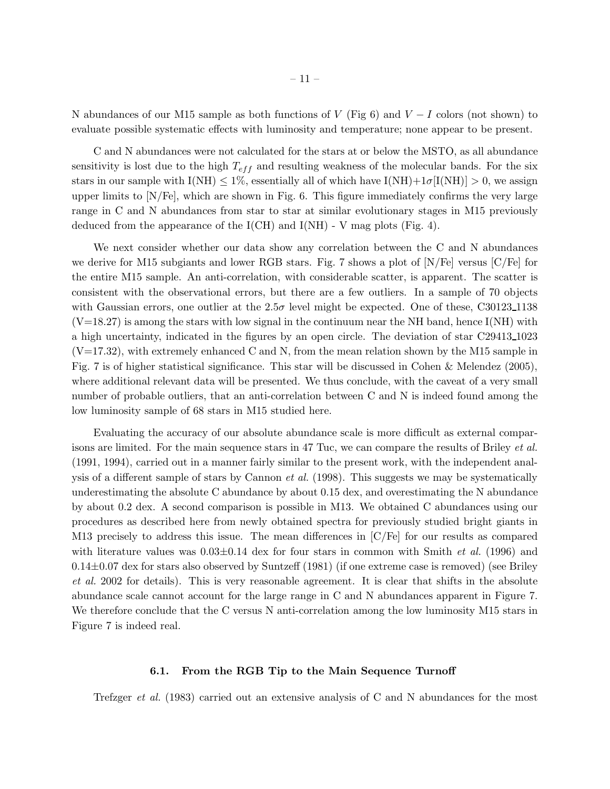N abundances of our M15 sample as both functions of V (Fig 6) and  $V-I$  colors (not shown) to evaluate possible systematic effects with luminosity and temperature; none appear to be present.

C and N abundances were not calculated for the stars at or below the MSTO, as all abundance sensitivity is lost due to the high  $T_{eff}$  and resulting weakness of the molecular bands. For the six stars in our sample with  $I(NH) \le 1\%$ , essentially all of which have  $I(NH)+1\sigma[I(NH)] > 0$ , we assign upper limits to  $[N/Fe]$ , which are shown in Fig. 6. This figure immediately confirms the very large range in C and N abundances from star to star at similar evolutionary stages in M15 previously deduced from the appearance of the  $I(CH)$  and  $I(NH)$  - V mag plots (Fig. 4).

We next consider whether our data show any correlation between the C and N abundances we derive for M15 subgiants and lower RGB stars. Fig. 7 shows a plot of  $N/Fe$  versus  $C/Fe$  for the entire M15 sample. An anti-correlation, with considerable scatter, is apparent. The scatter is consistent with the observational errors, but there are a few outliers. In a sample of 70 objects with Gaussian errors, one outlier at the  $2.5\sigma$  level might be expected. One of these, C30123 1138  $(V=18.27)$  is among the stars with low signal in the continuum near the NH band, hence I(NH) with a high uncertainty, indicated in the figures by an open circle. The deviation of star C29413 1023  $(V=17.32)$ , with extremely enhanced C and N, from the mean relation shown by the M15 sample in Fig. 7 is of higher statistical significance. This star will be discussed in Cohen & Melendez (2005), where additional relevant data will be presented. We thus conclude, with the caveat of a very small number of probable outliers, that an anti-correlation between C and N is indeed found among the low luminosity sample of 68 stars in M15 studied here.

Evaluating the accuracy of our absolute abundance scale is more difficult as external comparisons are limited. For the main sequence stars in 47 Tuc, we can compare the results of Briley *et al.* (1991, 1994), carried out in a manner fairly similar to the present work, with the independent analysis of a different sample of stars by Cannon *et al.* (1998). This suggests we may be systematically underestimating the absolute C abundance by about 0.15 dex, and overestimating the N abundance by about 0.2 dex. A second comparison is possible in M13. We obtained C abundances using our procedures as described here from newly obtained spectra for previously studied bright giants in M13 precisely to address this issue. The mean differences in [C/Fe] for our results as compared with literature values was 0.03±0.14 dex for four stars in common with Smith *et al.* (1996) and  $0.14\pm0.07$  dex for stars also observed by Suntzeff (1981) (if one extreme case is removed) (see Briley *et al.* 2002 for details). This is very reasonable agreement. It is clear that shifts in the absolute abundance scale cannot account for the large range in C and N abundances apparent in Figure 7. We therefore conclude that the C versus N anti-correlation among the low luminosity M15 stars in Figure 7 is indeed real.

## 6.1. From the RGB Tip to the Main Sequence Turnoff

Trefzger *et al.* (1983) carried out an extensive analysis of C and N abundances for the most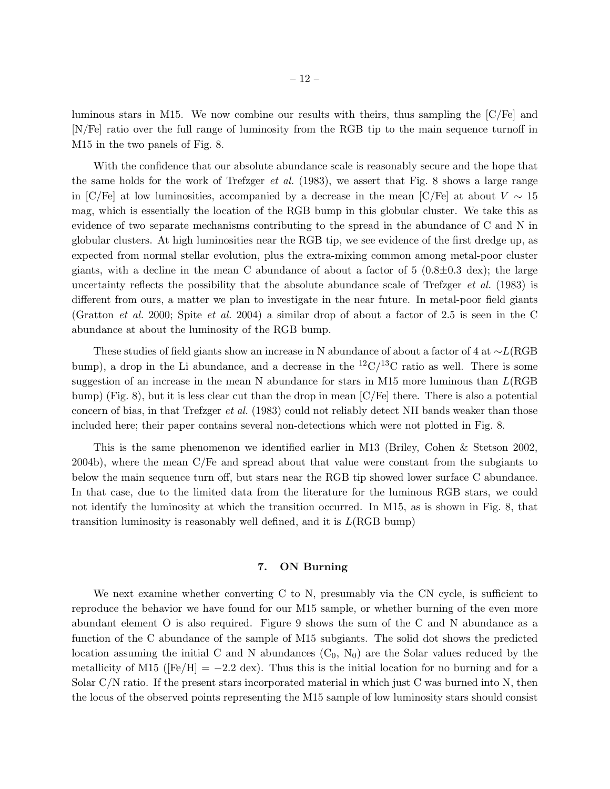luminous stars in M15. We now combine our results with theirs, thus sampling the [C/Fe] and [N/Fe] ratio over the full range of luminosity from the RGB tip to the main sequence turnoff in M15 in the two panels of Fig. 8.

With the confidence that our absolute abundance scale is reasonably secure and the hope that the same holds for the work of Trefzger *et al.* (1983), we assert that Fig. 8 shows a large range in [C/Fe] at low luminosities, accompanied by a decrease in the mean [C/Fe] at about  $V \sim 15$ mag, which is essentially the location of the RGB bump in this globular cluster. We take this as evidence of two separate mechanisms contributing to the spread in the abundance of C and N in globular clusters. At high luminosities near the RGB tip, we see evidence of the first dredge up, as expected from normal stellar evolution, plus the extra-mixing common among metal-poor cluster giants, with a decline in the mean C abundance of about a factor of  $5 \ (0.8 \pm 0.3 \ \text{dex})$ ; the large uncertainty reflects the possibility that the absolute abundance scale of Trefzger *et al.* (1983) is different from ours, a matter we plan to investigate in the near future. In metal-poor field giants (Gratton *et al.* 2000; Spite *et al.* 2004) a similar drop of about a factor of 2.5 is seen in the C abundance at about the luminosity of the RGB bump.

These studies of field giants show an increase in N abundance of about a factor of 4 at ∼L(RGB bump), a drop in the Li abundance, and a decrease in the  ${}^{12}C/{}^{13}C$  ratio as well. There is some suggestion of an increase in the mean N abundance for stars in M15 more luminous than  $L(RGB)$ bump) (Fig. 8), but it is less clear cut than the drop in mean [C/Fe] there. There is also a potential concern of bias, in that Trefzger *et al.* (1983) could not reliably detect NH bands weaker than those included here; their paper contains several non-detections which were not plotted in Fig. 8.

This is the same phenomenon we identified earlier in M13 (Briley, Cohen & Stetson 2002, 2004b), where the mean C/Fe and spread about that value were constant from the subgiants to below the main sequence turn off, but stars near the RGB tip showed lower surface C abundance. In that case, due to the limited data from the literature for the luminous RGB stars, we could not identify the luminosity at which the transition occurred. In M15, as is shown in Fig. 8, that transition luminosity is reasonably well defined, and it is  $L(RGB \text{ bump})$ 

## 7. ON Burning

We next examine whether converting C to N, presumably via the CN cycle, is sufficient to reproduce the behavior we have found for our M15 sample, or whether burning of the even more abundant element O is also required. Figure 9 shows the sum of the C and N abundance as a function of the C abundance of the sample of M15 subgiants. The solid dot shows the predicted location assuming the initial C and N abundances  $(C_0, N_0)$  are the Solar values reduced by the metallicity of M15 ( $[Fe/H] = -2.2$  dex). Thus this is the initial location for no burning and for a Solar C/N ratio. If the present stars incorporated material in which just C was burned into N, then the locus of the observed points representing the M15 sample of low luminosity stars should consist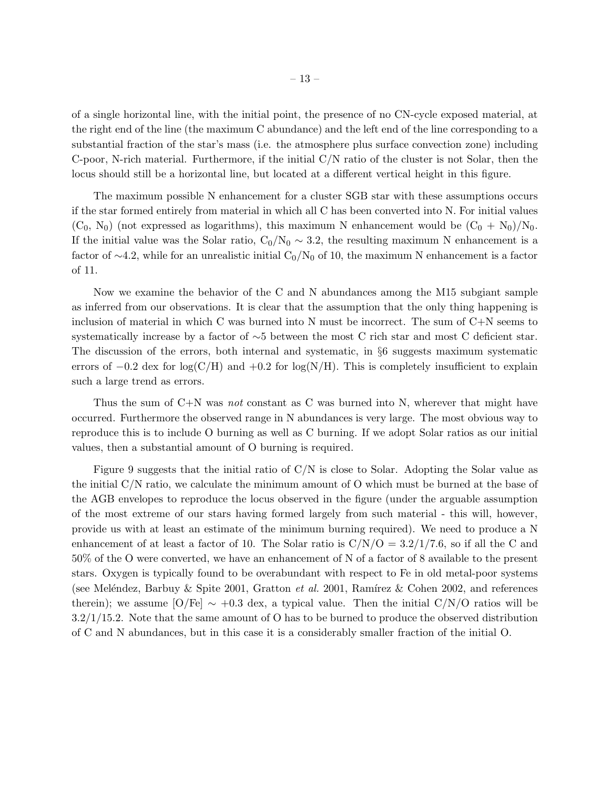of a single horizontal line, with the initial point, the presence of no CN-cycle exposed material, at the right end of the line (the maximum C abundance) and the left end of the line corresponding to a substantial fraction of the star's mass (i.e. the atmosphere plus surface convection zone) including C-poor, N-rich material. Furthermore, if the initial  $C/N$  ratio of the cluster is not Solar, then the locus should still be a horizontal line, but located at a different vertical height in this figure.

The maximum possible N enhancement for a cluster SGB star with these assumptions occurs if the star formed entirely from material in which all C has been converted into N. For initial values  $(C_0, N_0)$  (not expressed as logarithms), this maximum N enhancement would be  $(C_0 + N_0)/N_0$ . If the initial value was the Solar ratio,  $C_0/N_0 \sim 3.2$ , the resulting maximum N enhancement is a factor of  $\sim$ 4.2, while for an unrealistic initial C<sub>0</sub>/N<sub>0</sub> of 10, the maximum N enhancement is a factor of 11.

Now we examine the behavior of the C and N abundances among the M15 subgiant sample as inferred from our observations. It is clear that the assumption that the only thing happening is inclusion of material in which C was burned into N must be incorrect. The sum of C+N seems to systematically increase by a factor of ∼5 between the most C rich star and most C deficient star. The discussion of the errors, both internal and systematic, in  $\S6$  suggests maximum systematic errors of  $-0.2$  dex for log(C/H) and  $+0.2$  for log(N/H). This is completely insufficient to explain such a large trend as errors.

Thus the sum of C+N was *not* constant as C was burned into N, wherever that might have occurred. Furthermore the observed range in N abundances is very large. The most obvious way to reproduce this is to include O burning as well as C burning. If we adopt Solar ratios as our initial values, then a substantial amount of O burning is required.

Figure 9 suggests that the initial ratio of C/N is close to Solar. Adopting the Solar value as the initial C/N ratio, we calculate the minimum amount of O which must be burned at the base of the AGB envelopes to reproduce the locus observed in the figure (under the arguable assumption of the most extreme of our stars having formed largely from such material - this will, however, provide us with at least an estimate of the minimum burning required). We need to produce a N enhancement of at least a factor of 10. The Solar ratio is  $C/N/O = 3.2/1/7.6$ , so if all the C and 50% of the O were converted, we have an enhancement of N of a factor of 8 available to the present stars. Oxygen is typically found to be overabundant with respect to Fe in old metal-poor systems (see Meléndez, Barbuy & Spite 2001, Gratton *et al.* 2001, Ramírez & Cohen 2002, and references therein); we assume [O/Fe]  $\sim +0.3$  dex, a typical value. Then the initial C/N/O ratios will be 3.2/1/15.2. Note that the same amount of O has to be burned to produce the observed distribution of C and N abundances, but in this case it is a considerably smaller fraction of the initial O.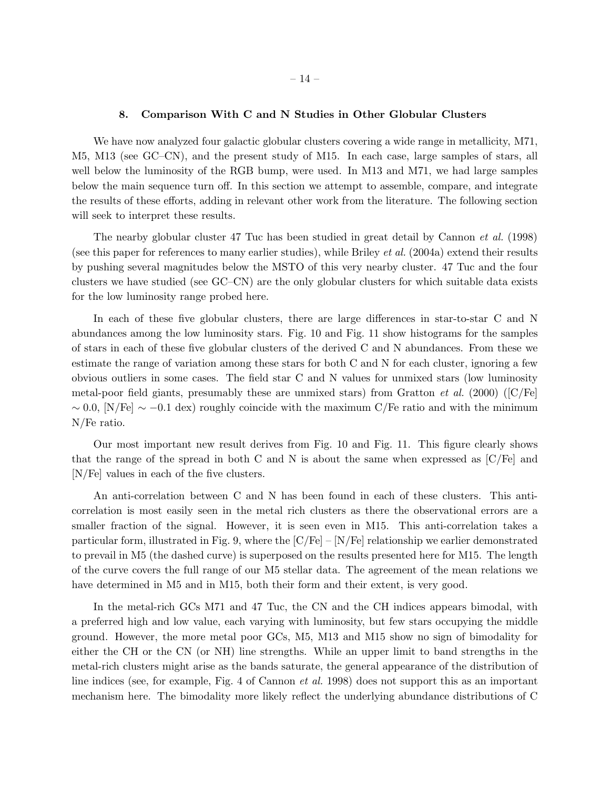### 8. Comparison With C and N Studies in Other Globular Clusters

We have now analyzed four galactic globular clusters covering a wide range in metallicity, M71, M5, M13 (see GC–CN), and the present study of M15. In each case, large samples of stars, all well below the luminosity of the RGB bump, were used. In M13 and M71, we had large samples below the main sequence turn off. In this section we attempt to assemble, compare, and integrate the results of these efforts, adding in relevant other work from the literature. The following section will seek to interpret these results.

The nearby globular cluster 47 Tuc has been studied in great detail by Cannon *et al.* (1998) (see this paper for references to many earlier studies), while Briley *et al.* (2004a) extend their results by pushing several magnitudes below the MSTO of this very nearby cluster. 47 Tuc and the four clusters we have studied (see GC–CN) are the only globular clusters for which suitable data exists for the low luminosity range probed here.

In each of these five globular clusters, there are large differences in star-to-star C and N abundances among the low luminosity stars. Fig. 10 and Fig. 11 show histograms for the samples of stars in each of these five globular clusters of the derived C and N abundances. From these we estimate the range of variation among these stars for both C and N for each cluster, ignoring a few obvious outliers in some cases. The field star C and N values for unmixed stars (low luminosity metal-poor field giants, presumably these are unmixed stars) from Gratton *et al.* (2000) ([C/Fe]  $\sim 0.0$ , [N/Fe]  $\sim -0.1$  dex) roughly coincide with the maximum C/Fe ratio and with the minimum N/Fe ratio.

Our most important new result derives from Fig. 10 and Fig. 11. This figure clearly shows that the range of the spread in both C and N is about the same when expressed as  $\left[\text{C/Fe}\right]$  and [N/Fe] values in each of the five clusters.

An anti-correlation between C and N has been found in each of these clusters. This anticorrelation is most easily seen in the metal rich clusters as there the observational errors are a smaller fraction of the signal. However, it is seen even in M15. This anti-correlation takes a particular form, illustrated in Fig. 9, where the  $\left[\frac{C}{Fe}\right]-\left[\frac{N}{Fe}\right]$  relationship we earlier demonstrated to prevail in M5 (the dashed curve) is superposed on the results presented here for M15. The length of the curve covers the full range of our M5 stellar data. The agreement of the mean relations we have determined in M5 and in M15, both their form and their extent, is very good.

In the metal-rich GCs M71 and 47 Tuc, the CN and the CH indices appears bimodal, with a preferred high and low value, each varying with luminosity, but few stars occupying the middle ground. However, the more metal poor GCs, M5, M13 and M15 show no sign of bimodality for either the CH or the CN (or NH) line strengths. While an upper limit to band strengths in the metal-rich clusters might arise as the bands saturate, the general appearance of the distribution of line indices (see, for example, Fig. 4 of Cannon *et al.* 1998) does not support this as an important mechanism here. The bimodality more likely reflect the underlying abundance distributions of C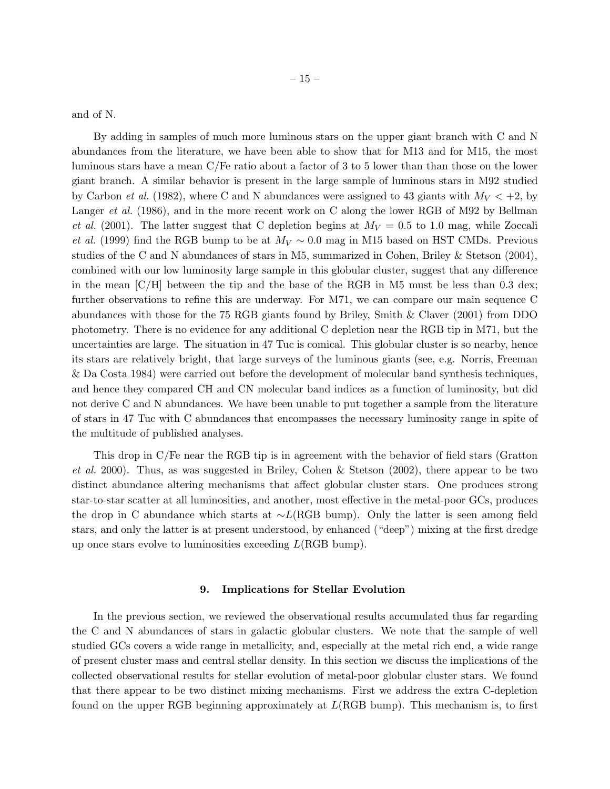and of N.

By adding in samples of much more luminous stars on the upper giant branch with C and N abundances from the literature, we have been able to show that for M13 and for M15, the most luminous stars have a mean C/Fe ratio about a factor of 3 to 5 lower than than those on the lower giant branch. A similar behavior is present in the large sample of luminous stars in M92 studied by Carbon *et al.* (1982), where C and N abundances were assigned to 43 giants with  $M_V < +2$ , by Langer *et al.* (1986), and in the more recent work on C along the lower RGB of M92 by Bellman *et al.* (2001). The latter suggest that C depletion begins at  $M_V = 0.5$  to 1.0 mag, while Zoccali *et al.* (1999) find the RGB bump to be at  $M_V \sim 0.0$  mag in M15 based on HST CMDs. Previous studies of the C and N abundances of stars in M5, summarized in Cohen, Briley & Stetson (2004), combined with our low luminosity large sample in this globular cluster, suggest that any difference in the mean  $\left[{\rm C/H}\right]$  between the tip and the base of the RGB in M5 must be less than 0.3 dex; further observations to refine this are underway. For M71, we can compare our main sequence C abundances with those for the 75 RGB giants found by Briley, Smith & Claver (2001) from DDO photometry. There is no evidence for any additional C depletion near the RGB tip in M71, but the uncertainties are large. The situation in 47 Tuc is comical. This globular cluster is so nearby, hence its stars are relatively bright, that large surveys of the luminous giants (see, e.g. Norris, Freeman & Da Costa 1984) were carried out before the development of molecular band synthesis techniques, and hence they compared CH and CN molecular band indices as a function of luminosity, but did not derive C and N abundances. We have been unable to put together a sample from the literature of stars in 47 Tuc with C abundances that encompasses the necessary luminosity range in spite of the multitude of published analyses.

This drop in C/Fe near the RGB tip is in agreement with the behavior of field stars (Gratton *et al.* 2000). Thus, as was suggested in Briley, Cohen & Stetson (2002), there appear to be two distinct abundance altering mechanisms that affect globular cluster stars. One produces strong star-to-star scatter at all luminosities, and another, most effective in the metal-poor GCs, produces the drop in C abundance which starts at  $\sim L(RGB)$  bump). Only the latter is seen among field stars, and only the latter is at present understood, by enhanced ("deep") mixing at the first dredge up once stars evolve to luminosities exceeding  $L(RGB~bump)$ .

#### 9. Implications for Stellar Evolution

In the previous section, we reviewed the observational results accumulated thus far regarding the C and N abundances of stars in galactic globular clusters. We note that the sample of well studied GCs covers a wide range in metallicity, and, especially at the metal rich end, a wide range of present cluster mass and central stellar density. In this section we discuss the implications of the collected observational results for stellar evolution of metal-poor globular cluster stars. We found that there appear to be two distinct mixing mechanisms. First we address the extra C-depletion found on the upper RGB beginning approximately at L(RGB bump). This mechanism is, to first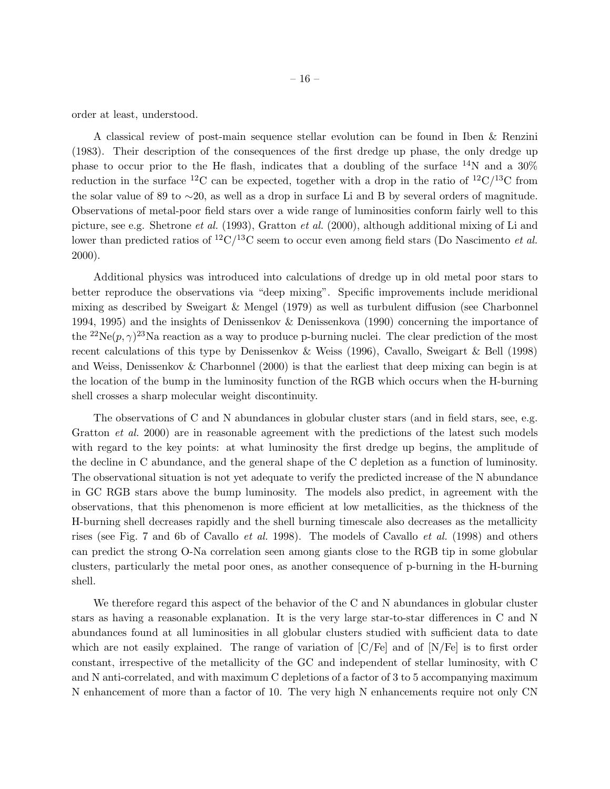order at least, understood.

A classical review of post-main sequence stellar evolution can be found in Iben & Renzini (1983). Their description of the consequences of the first dredge up phase, the only dredge up phase to occur prior to the He flash, indicates that a doubling of the surface  $^{14}N$  and a  $30\%$ reduction in the surface <sup>12</sup>C can be expected, together with a drop in the ratio of <sup>12</sup>C/<sup>13</sup>C from the solar value of 89 to ∼20, as well as a drop in surface Li and B by several orders of magnitude. Observations of metal-poor field stars over a wide range of luminosities conform fairly well to this picture, see e.g. Shetrone *et al.* (1993), Gratton *et al.* (2000), although additional mixing of Li and lower than predicted ratios of <sup>12</sup>C/13C seem to occur even among field stars (Do Nascimento *et al.* 2000).

Additional physics was introduced into calculations of dredge up in old metal poor stars to better reproduce the observations via "deep mixing". Specific improvements include meridional mixing as described by Sweigart & Mengel (1979) as well as turbulent diffusion (see Charbonnel 1994, 1995) and the insights of Denissenkov & Denissenkova (1990) concerning the importance of the <sup>22</sup>Ne $(p, \gamma)^{23}$ Na reaction as a way to produce p-burning nuclei. The clear prediction of the most recent calculations of this type by Denissenkov & Weiss (1996), Cavallo, Sweigart & Bell (1998) and Weiss, Denissenkov & Charbonnel (2000) is that the earliest that deep mixing can begin is at the location of the bump in the luminosity function of the RGB which occurs when the H-burning shell crosses a sharp molecular weight discontinuity.

The observations of C and N abundances in globular cluster stars (and in field stars, see, e.g. Gratton *et al.* 2000) are in reasonable agreement with the predictions of the latest such models with regard to the key points: at what luminosity the first dredge up begins, the amplitude of the decline in C abundance, and the general shape of the C depletion as a function of luminosity. The observational situation is not yet adequate to verify the predicted increase of the N abundance in GC RGB stars above the bump luminosity. The models also predict, in agreement with the observations, that this phenomenon is more efficient at low metallicities, as the thickness of the H-burning shell decreases rapidly and the shell burning timescale also decreases as the metallicity rises (see Fig. 7 and 6b of Cavallo *et al.* 1998). The models of Cavallo *et al.* (1998) and others can predict the strong O-Na correlation seen among giants close to the RGB tip in some globular clusters, particularly the metal poor ones, as another consequence of p-burning in the H-burning shell.

We therefore regard this aspect of the behavior of the C and N abundances in globular cluster stars as having a reasonable explanation. It is the very large star-to-star differences in C and N abundances found at all luminosities in all globular clusters studied with sufficient data to date which are not easily explained. The range of variation of  $\langle C/Fe|$  and of  $\langle N/Fe|$  is to first order constant, irrespective of the metallicity of the GC and independent of stellar luminosity, with C and N anti-correlated, and with maximum C depletions of a factor of 3 to 5 accompanying maximum N enhancement of more than a factor of 10. The very high N enhancements require not only CN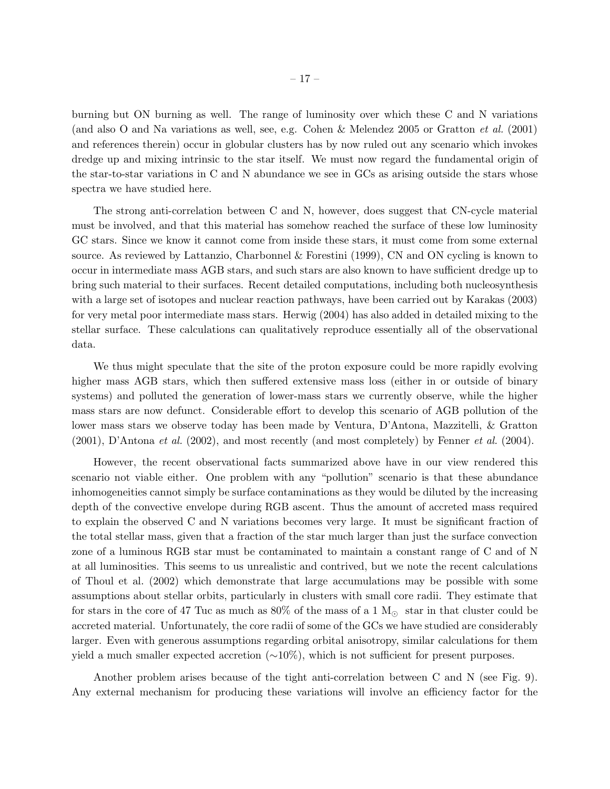burning but ON burning as well. The range of luminosity over which these C and N variations (and also O and Na variations as well, see, e.g. Cohen & Melendez 2005 or Gratton *et al.* (2001) and references therein) occur in globular clusters has by now ruled out any scenario which invokes dredge up and mixing intrinsic to the star itself. We must now regard the fundamental origin of the star-to-star variations in C and N abundance we see in GCs as arising outside the stars whose spectra we have studied here.

The strong anti-correlation between C and N, however, does suggest that CN-cycle material must be involved, and that this material has somehow reached the surface of these low luminosity GC stars. Since we know it cannot come from inside these stars, it must come from some external source. As reviewed by Lattanzio, Charbonnel & Forestini (1999), CN and ON cycling is known to occur in intermediate mass AGB stars, and such stars are also known to have sufficient dredge up to bring such material to their surfaces. Recent detailed computations, including both nucleosynthesis with a large set of isotopes and nuclear reaction pathways, have been carried out by Karakas (2003) for very metal poor intermediate mass stars. Herwig (2004) has also added in detailed mixing to the stellar surface. These calculations can qualitatively reproduce essentially all of the observational data.

We thus might speculate that the site of the proton exposure could be more rapidly evolving higher mass AGB stars, which then suffered extensive mass loss (either in or outside of binary systems) and polluted the generation of lower-mass stars we currently observe, while the higher mass stars are now defunct. Considerable effort to develop this scenario of AGB pollution of the lower mass stars we observe today has been made by Ventura, D'Antona, Mazzitelli, & Gratton (2001), D'Antona *et al.* (2002), and most recently (and most completely) by Fenner *et al.* (2004).

However, the recent observational facts summarized above have in our view rendered this scenario not viable either. One problem with any "pollution" scenario is that these abundance inhomogeneities cannot simply be surface contaminations as they would be diluted by the increasing depth of the convective envelope during RGB ascent. Thus the amount of accreted mass required to explain the observed C and N variations becomes very large. It must be significant fraction of the total stellar mass, given that a fraction of the star much larger than just the surface convection zone of a luminous RGB star must be contaminated to maintain a constant range of C and of N at all luminosities. This seems to us unrealistic and contrived, but we note the recent calculations of Thoul et al. (2002) which demonstrate that large accumulations may be possible with some assumptions about stellar orbits, particularly in clusters with small core radii. They estimate that for stars in the core of 47 Tuc as much as 80% of the mass of a 1  $M_{\odot}$  star in that cluster could be accreted material. Unfortunately, the core radii of some of the GCs we have studied are considerably larger. Even with generous assumptions regarding orbital anisotropy, similar calculations for them yield a much smaller expected accretion  $(\sim 10\%)$ , which is not sufficient for present purposes.

Another problem arises because of the tight anti-correlation between C and N (see Fig. 9). Any external mechanism for producing these variations will involve an efficiency factor for the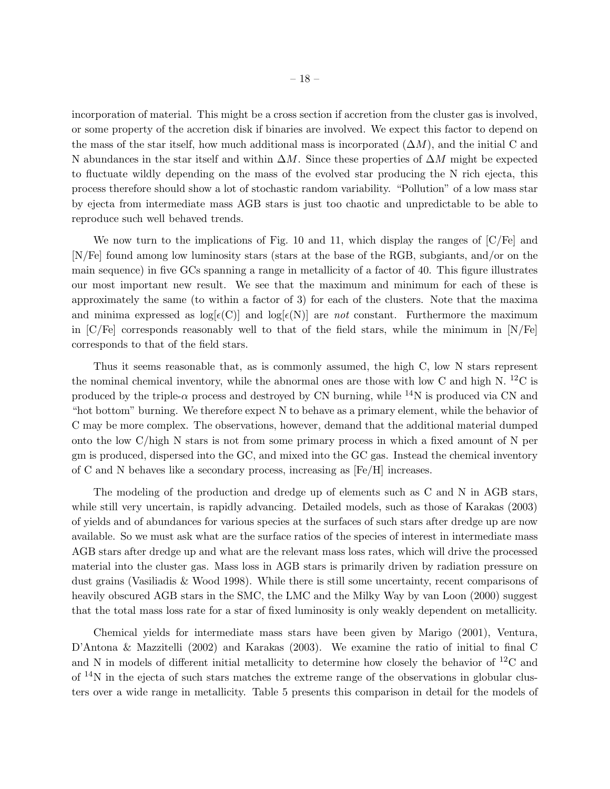incorporation of material. This might be a cross section if accretion from the cluster gas is involved, or some property of the accretion disk if binaries are involved. We expect this factor to depend on the mass of the star itself, how much additional mass is incorporated  $(\Delta M)$ , and the initial C and N abundances in the star itself and within  $\Delta M$ . Since these properties of  $\Delta M$  might be expected to fluctuate wildly depending on the mass of the evolved star producing the N rich ejecta, this process therefore should show a lot of stochastic random variability. "Pollution" of a low mass star by ejecta from intermediate mass AGB stars is just too chaotic and unpredictable to be able to reproduce such well behaved trends.

We now turn to the implications of Fig. 10 and 11, which display the ranges of [C/Fe] and [N/Fe] found among low luminosity stars (stars at the base of the RGB, subgiants, and/or on the main sequence) in five GCs spanning a range in metallicity of a factor of 40. This figure illustrates our most important new result. We see that the maximum and minimum for each of these is approximately the same (to within a factor of 3) for each of the clusters. Note that the maxima and minima expressed as  $log[\epsilon(C)]$  and  $log[\epsilon(N)]$  are *not* constant. Furthermore the maximum in  $\vert$ C/Fe] corresponds reasonably well to that of the field stars, while the minimum in  $\vert$ N/Fe] corresponds to that of the field stars.

Thus it seems reasonable that, as is commonly assumed, the high C, low N stars represent the nominal chemical inventory, while the abnormal ones are those with low C and high N.  $^{12}$ C is produced by the triple- $\alpha$  process and destroyed by CN burning, while <sup>14</sup>N is produced via CN and "hot bottom" burning. We therefore expect N to behave as a primary element, while the behavior of C may be more complex. The observations, however, demand that the additional material dumped onto the low C/high N stars is not from some primary process in which a fixed amount of N per gm is produced, dispersed into the GC, and mixed into the GC gas. Instead the chemical inventory of C and N behaves like a secondary process, increasing as [Fe/H] increases.

The modeling of the production and dredge up of elements such as C and N in AGB stars, while still very uncertain, is rapidly advancing. Detailed models, such as those of Karakas (2003) of yields and of abundances for various species at the surfaces of such stars after dredge up are now available. So we must ask what are the surface ratios of the species of interest in intermediate mass AGB stars after dredge up and what are the relevant mass loss rates, which will drive the processed material into the cluster gas. Mass loss in AGB stars is primarily driven by radiation pressure on dust grains (Vasiliadis & Wood 1998). While there is still some uncertainty, recent comparisons of heavily obscured AGB stars in the SMC, the LMC and the Milky Way by van Loon (2000) suggest that the total mass loss rate for a star of fixed luminosity is only weakly dependent on metallicity.

Chemical yields for intermediate mass stars have been given by Marigo (2001), Ventura, D'Antona & Mazzitelli (2002) and Karakas (2003). We examine the ratio of initial to final C and N in models of different initial metallicity to determine how closely the behavior of  ${}^{12}$ C and of  $14N$  in the ejecta of such stars matches the extreme range of the observations in globular clusters over a wide range in metallicity. Table 5 presents this comparison in detail for the models of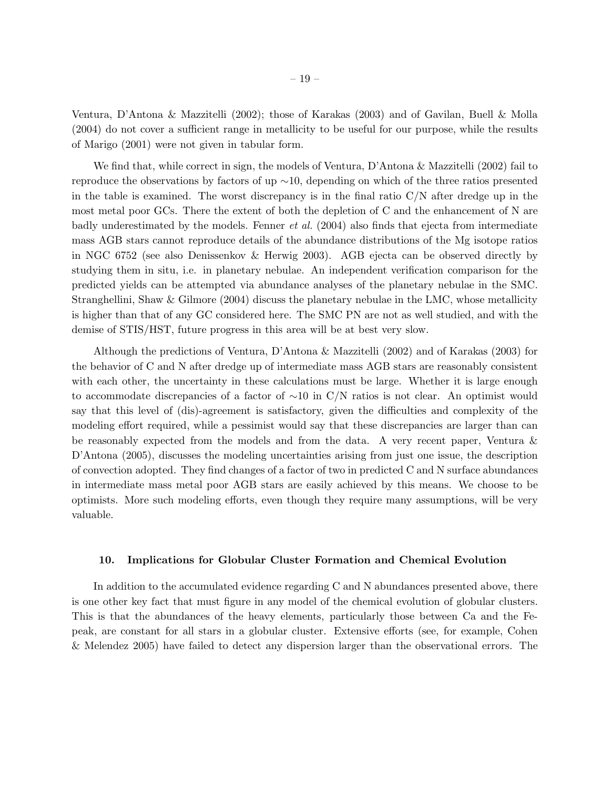Ventura, D'Antona & Mazzitelli (2002); those of Karakas (2003) and of Gavilan, Buell & Molla (2004) do not cover a sufficient range in metallicity to be useful for our purpose, while the results of Marigo (2001) were not given in tabular form.

We find that, while correct in sign, the models of Ventura, D'Antona & Mazzitelli (2002) fail to reproduce the observations by factors of up ∼10, depending on which of the three ratios presented in the table is examined. The worst discrepancy is in the final ratio  $C/N$  after dredge up in the most metal poor GCs. There the extent of both the depletion of C and the enhancement of N are badly underestimated by the models. Fenner *et al.* (2004) also finds that ejecta from intermediate mass AGB stars cannot reproduce details of the abundance distributions of the Mg isotope ratios in NGC 6752 (see also Denissenkov & Herwig 2003). AGB ejecta can be observed directly by studying them in situ, i.e. in planetary nebulae. An independent verification comparison for the predicted yields can be attempted via abundance analyses of the planetary nebulae in the SMC. Stranghellini, Shaw & Gilmore (2004) discuss the planetary nebulae in the LMC, whose metallicity is higher than that of any GC considered here. The SMC PN are not as well studied, and with the demise of STIS/HST, future progress in this area will be at best very slow.

Although the predictions of Ventura, D'Antona & Mazzitelli (2002) and of Karakas (2003) for the behavior of C and N after dredge up of intermediate mass AGB stars are reasonably consistent with each other, the uncertainty in these calculations must be large. Whether it is large enough to accommodate discrepancies of a factor of ∼10 in C/N ratios is not clear. An optimist would say that this level of (dis)-agreement is satisfactory, given the difficulties and complexity of the modeling effort required, while a pessimist would say that these discrepancies are larger than can be reasonably expected from the models and from the data. A very recent paper, Ventura & D'Antona (2005), discusses the modeling uncertainties arising from just one issue, the description of convection adopted. They find changes of a factor of two in predicted C and N surface abundances in intermediate mass metal poor AGB stars are easily achieved by this means. We choose to be optimists. More such modeling efforts, even though they require many assumptions, will be very valuable.

## 10. Implications for Globular Cluster Formation and Chemical Evolution

In addition to the accumulated evidence regarding C and N abundances presented above, there is one other key fact that must figure in any model of the chemical evolution of globular clusters. This is that the abundances of the heavy elements, particularly those between Ca and the Fepeak, are constant for all stars in a globular cluster. Extensive efforts (see, for example, Cohen & Melendez 2005) have failed to detect any dispersion larger than the observational errors. The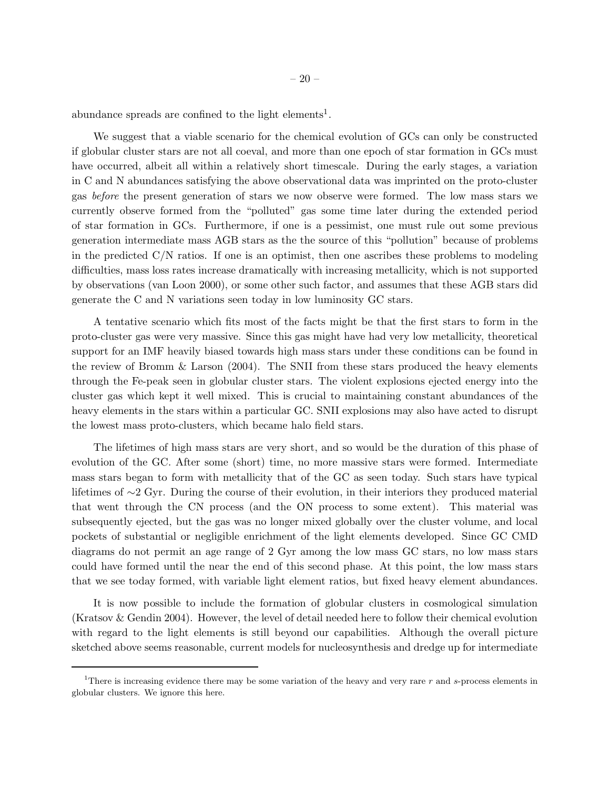abundance spreads are confined to the light elements<sup>1</sup>.

We suggest that a viable scenario for the chemical evolution of GCs can only be constructed if globular cluster stars are not all coeval, and more than one epoch of star formation in GCs must have occurred, albeit all within a relatively short timescale. During the early stages, a variation in C and N abundances satisfying the above observational data was imprinted on the proto-cluster gas *before* the present generation of stars we now observe were formed. The low mass stars we currently observe formed from the "polluted" gas some time later during the extended period of star formation in GCs. Furthermore, if one is a pessimist, one must rule out some previous generation intermediate mass AGB stars as the the source of this "pollution" because of problems in the predicted C/N ratios. If one is an optimist, then one ascribes these problems to modeling difficulties, mass loss rates increase dramatically with increasing metallicity, which is not supported by observations (van Loon 2000), or some other such factor, and assumes that these AGB stars did generate the C and N variations seen today in low luminosity GC stars.

A tentative scenario which fits most of the facts might be that the first stars to form in the proto-cluster gas were very massive. Since this gas might have had very low metallicity, theoretical support for an IMF heavily biased towards high mass stars under these conditions can be found in the review of Bromm & Larson (2004). The SNII from these stars produced the heavy elements through the Fe-peak seen in globular cluster stars. The violent explosions ejected energy into the cluster gas which kept it well mixed. This is crucial to maintaining constant abundances of the heavy elements in the stars within a particular GC. SNII explosions may also have acted to disrupt the lowest mass proto-clusters, which became halo field stars.

The lifetimes of high mass stars are very short, and so would be the duration of this phase of evolution of the GC. After some (short) time, no more massive stars were formed. Intermediate mass stars began to form with metallicity that of the GC as seen today. Such stars have typical lifetimes of ∼2 Gyr. During the course of their evolution, in their interiors they produced material that went through the CN process (and the ON process to some extent). This material was subsequently ejected, but the gas was no longer mixed globally over the cluster volume, and local pockets of substantial or negligible enrichment of the light elements developed. Since GC CMD diagrams do not permit an age range of 2 Gyr among the low mass GC stars, no low mass stars could have formed until the near the end of this second phase. At this point, the low mass stars that we see today formed, with variable light element ratios, but fixed heavy element abundances.

It is now possible to include the formation of globular clusters in cosmological simulation (Kratsov & Gendin 2004). However, the level of detail needed here to follow their chemical evolution with regard to the light elements is still beyond our capabilities. Although the overall picture sketched above seems reasonable, current models for nucleosynthesis and dredge up for intermediate

<sup>&</sup>lt;sup>1</sup>There is increasing evidence there may be some variation of the heavy and very rare r and s-process elements in globular clusters. We ignore this here.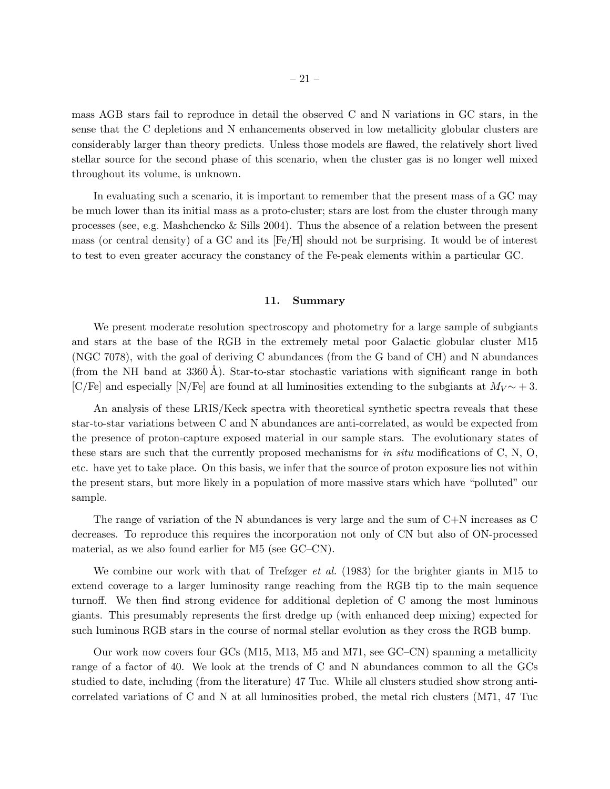mass AGB stars fail to reproduce in detail the observed C and N variations in GC stars, in the sense that the C depletions and N enhancements observed in low metallicity globular clusters are considerably larger than theory predicts. Unless those models are flawed, the relatively short lived stellar source for the second phase of this scenario, when the cluster gas is no longer well mixed throughout its volume, is unknown.

In evaluating such a scenario, it is important to remember that the present mass of a GC may be much lower than its initial mass as a proto-cluster; stars are lost from the cluster through many processes (see, e.g. Mashchencko & Sills 2004). Thus the absence of a relation between the present mass (or central density) of a GC and its [Fe/H] should not be surprising. It would be of interest to test to even greater accuracy the constancy of the Fe-peak elements within a particular GC.

## 11. Summary

We present moderate resolution spectroscopy and photometry for a large sample of subgiants and stars at the base of the RGB in the extremely metal poor Galactic globular cluster M15 (NGC 7078), with the goal of deriving C abundances (from the G band of CH) and N abundances (from the NH band at  $3360 \text{\AA}$ ). Star-to-star stochastic variations with significant range in both  $\left[\frac{\text{C}}{\text{Fe}}\right]$  and especially  $\left[\frac{\text{N}}{\text{Fe}}\right]$  are found at all luminosities extending to the subgiants at  $M_V \sim +3$ .

An analysis of these LRIS/Keck spectra with theoretical synthetic spectra reveals that these star-to-star variations between C and N abundances are anti-correlated, as would be expected from the presence of proton-capture exposed material in our sample stars. The evolutionary states of these stars are such that the currently proposed mechanisms for *in situ* modifications of C, N, O, etc. have yet to take place. On this basis, we infer that the source of proton exposure lies not within the present stars, but more likely in a population of more massive stars which have "polluted" our sample.

The range of variation of the N abundances is very large and the sum of C+N increases as C decreases. To reproduce this requires the incorporation not only of CN but also of ON-processed material, as we also found earlier for M5 (see GC–CN).

We combine our work with that of Trefzger *et al.* (1983) for the brighter giants in M15 to extend coverage to a larger luminosity range reaching from the RGB tip to the main sequence turnoff. We then find strong evidence for additional depletion of C among the most luminous giants. This presumably represents the first dredge up (with enhanced deep mixing) expected for such luminous RGB stars in the course of normal stellar evolution as they cross the RGB bump.

Our work now covers four GCs (M15, M13, M5 and M71, see GC–CN) spanning a metallicity range of a factor of 40. We look at the trends of C and N abundances common to all the GCs studied to date, including (from the literature) 47 Tuc. While all clusters studied show strong anticorrelated variations of C and N at all luminosities probed, the metal rich clusters (M71, 47 Tuc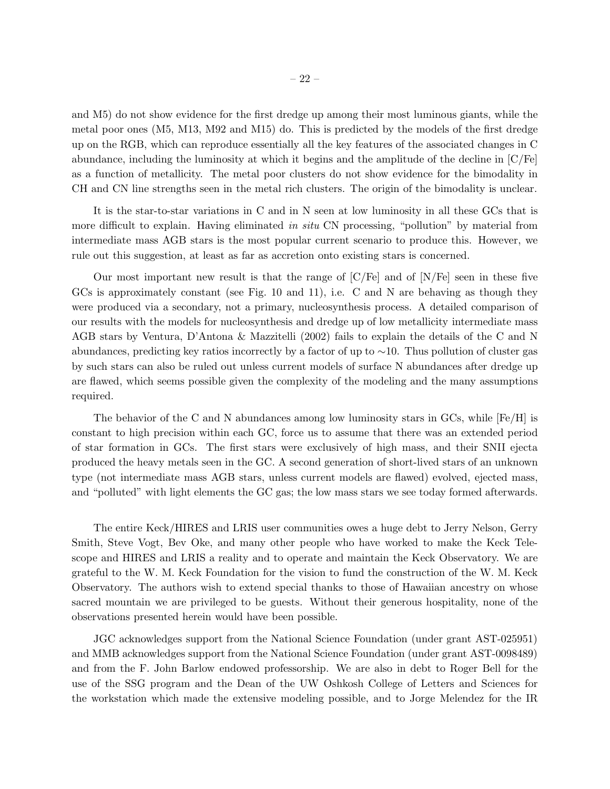and M5) do not show evidence for the first dredge up among their most luminous giants, while the metal poor ones (M5, M13, M92 and M15) do. This is predicted by the models of the first dredge up on the RGB, which can reproduce essentially all the key features of the associated changes in C abundance, including the luminosity at which it begins and the amplitude of the decline in [C/Fe] as a function of metallicity. The metal poor clusters do not show evidence for the bimodality in CH and CN line strengths seen in the metal rich clusters. The origin of the bimodality is unclear.

It is the star-to-star variations in C and in N seen at low luminosity in all these GCs that is more difficult to explain. Having eliminated *in situ* CN processing, "pollution" by material from intermediate mass AGB stars is the most popular current scenario to produce this. However, we rule out this suggestion, at least as far as accretion onto existing stars is concerned.

Our most important new result is that the range of  $\langle C/Fe|$  and of  $\langle N/Fe|$  seen in these five GCs is approximately constant (see Fig. 10 and 11), i.e. C and N are behaving as though they were produced via a secondary, not a primary, nucleosynthesis process. A detailed comparison of our results with the models for nucleosynthesis and dredge up of low metallicity intermediate mass AGB stars by Ventura, D'Antona & Mazzitelli (2002) fails to explain the details of the C and N abundances, predicting key ratios incorrectly by a factor of up to ∼10. Thus pollution of cluster gas by such stars can also be ruled out unless current models of surface N abundances after dredge up are flawed, which seems possible given the complexity of the modeling and the many assumptions required.

The behavior of the C and N abundances among low luminosity stars in GCs, while  $[Fe/H]$  is constant to high precision within each GC, force us to assume that there was an extended period of star formation in GCs. The first stars were exclusively of high mass, and their SNII ejecta produced the heavy metals seen in the GC. A second generation of short-lived stars of an unknown type (not intermediate mass AGB stars, unless current models are flawed) evolved, ejected mass, and "polluted" with light elements the GC gas; the low mass stars we see today formed afterwards.

The entire Keck/HIRES and LRIS user communities owes a huge debt to Jerry Nelson, Gerry Smith, Steve Vogt, Bev Oke, and many other people who have worked to make the Keck Telescope and HIRES and LRIS a reality and to operate and maintain the Keck Observatory. We are grateful to the W. M. Keck Foundation for the vision to fund the construction of the W. M. Keck Observatory. The authors wish to extend special thanks to those of Hawaiian ancestry on whose sacred mountain we are privileged to be guests. Without their generous hospitality, none of the observations presented herein would have been possible.

JGC acknowledges support from the National Science Foundation (under grant AST-025951) and MMB acknowledges support from the National Science Foundation (under grant AST-0098489) and from the F. John Barlow endowed professorship. We are also in debt to Roger Bell for the use of the SSG program and the Dean of the UW Oshkosh College of Letters and Sciences for the workstation which made the extensive modeling possible, and to Jorge Melendez for the IR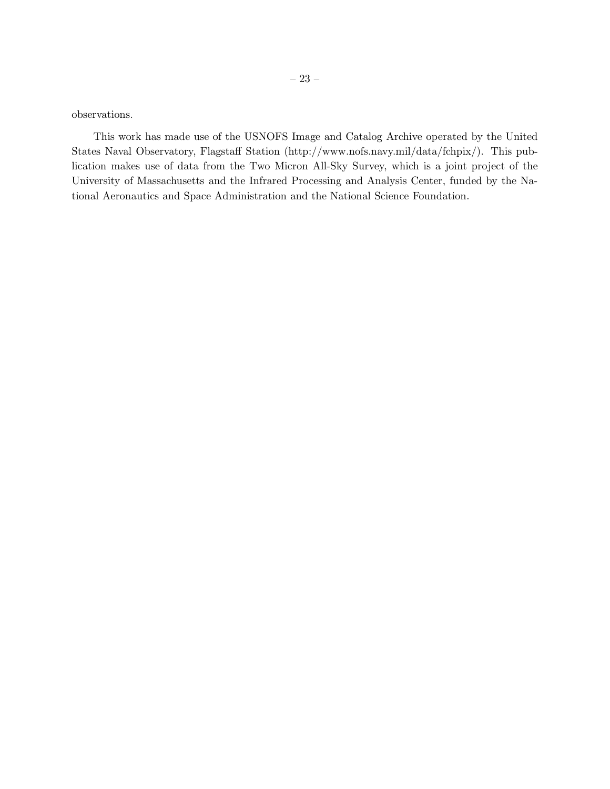observations.

This work has made use of the USNOFS Image and Catalog Archive operated by the United States Naval Observatory, Flagstaff Station (http://www.nofs.navy.mil/data/fchpix/). This publication makes use of data from the Two Micron All-Sky Survey, which is a joint project of the University of Massachusetts and the Infrared Processing and Analysis Center, funded by the National Aeronautics and Space Administration and the National Science Foundation.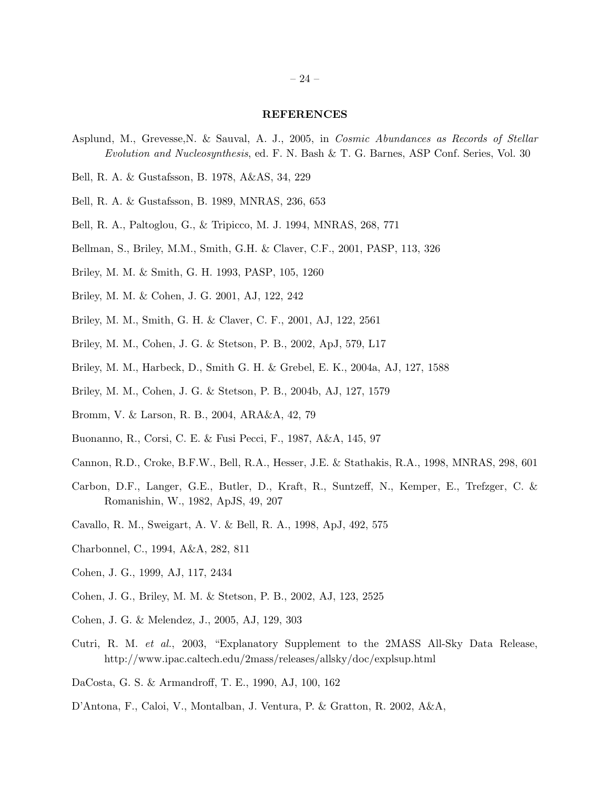#### REFERENCES

- Asplund, M., Grevesse,N. & Sauval, A. J., 2005, in *Cosmic Abundances as Records of Stellar Evolution and Nucleosynthesis*, ed. F. N. Bash & T. G. Barnes, ASP Conf. Series, Vol. 30
- Bell, R. A. & Gustafsson, B. 1978, A&AS, 34, 229
- Bell, R. A. & Gustafsson, B. 1989, MNRAS, 236, 653
- Bell, R. A., Paltoglou, G., & Tripicco, M. J. 1994, MNRAS, 268, 771
- Bellman, S., Briley, M.M., Smith, G.H. & Claver, C.F., 2001, PASP, 113, 326
- Briley, M. M. & Smith, G. H. 1993, PASP, 105, 1260
- Briley, M. M. & Cohen, J. G. 2001, AJ, 122, 242
- Briley, M. M., Smith, G. H. & Claver, C. F., 2001, AJ, 122, 2561
- Briley, M. M., Cohen, J. G. & Stetson, P. B., 2002, ApJ, 579, L17
- Briley, M. M., Harbeck, D., Smith G. H. & Grebel, E. K., 2004a, AJ, 127, 1588
- Briley, M. M., Cohen, J. G. & Stetson, P. B., 2004b, AJ, 127, 1579
- Bromm, V. & Larson, R. B., 2004, ARA&A, 42, 79
- Buonanno, R., Corsi, C. E. & Fusi Pecci, F., 1987, A&A, 145, 97
- Cannon, R.D., Croke, B.F.W., Bell, R.A., Hesser, J.E. & Stathakis, R.A., 1998, MNRAS, 298, 601
- Carbon, D.F., Langer, G.E., Butler, D., Kraft, R., Suntzeff, N., Kemper, E., Trefzger, C. & Romanishin, W., 1982, ApJS, 49, 207
- Cavallo, R. M., Sweigart, A. V. & Bell, R. A., 1998, ApJ, 492, 575
- Charbonnel, C., 1994, A&A, 282, 811
- Cohen, J. G., 1999, AJ, 117, 2434
- Cohen, J. G., Briley, M. M. & Stetson, P. B., 2002, AJ, 123, 2525
- Cohen, J. G. & Melendez, J., 2005, AJ, 129, 303
- Cutri, R. M. *et al.*, 2003, "Explanatory Supplement to the 2MASS All-Sky Data Release, http://www.ipac.caltech.edu/2mass/releases/allsky/doc/explsup.html
- DaCosta, G. S. & Armandroff, T. E., 1990, AJ, 100, 162
- D'Antona, F., Caloi, V., Montalban, J. Ventura, P. & Gratton, R. 2002, A&A,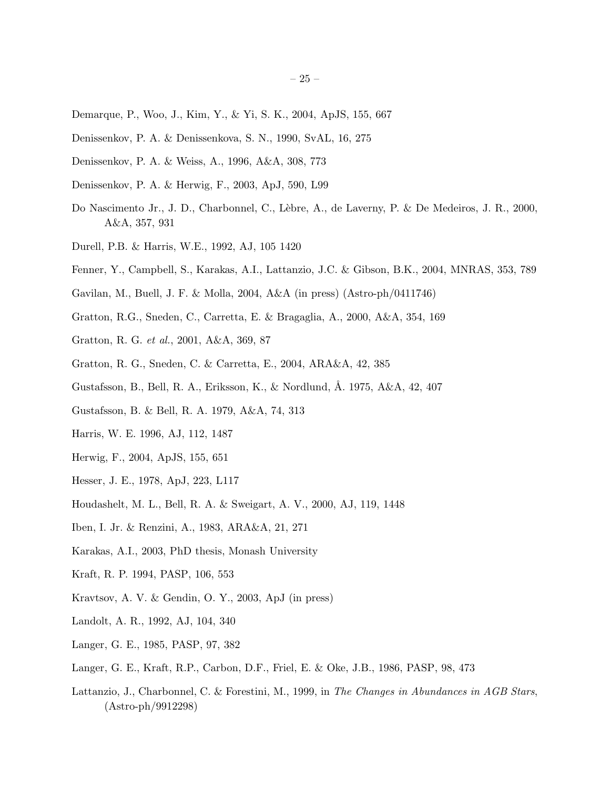- Demarque, P., Woo, J., Kim, Y., & Yi, S. K., 2004, ApJS, 155, 667
- Denissenkov, P. A. & Denissenkova, S. N., 1990, SvAL, 16, 275
- Denissenkov, P. A. & Weiss, A., 1996, A&A, 308, 773
- Denissenkov, P. A. & Herwig, F., 2003, ApJ, 590, L99
- Do Nascimento Jr., J. D., Charbonnel, C., Lèbre, A., de Laverny, P. & De Medeiros, J. R., 2000, A&A, 357, 931
- Durell, P.B. & Harris, W.E., 1992, AJ, 105 1420
- Fenner, Y., Campbell, S., Karakas, A.I., Lattanzio, J.C. & Gibson, B.K., 2004, MNRAS, 353, 789
- Gavilan, M., Buell, J. F. & Molla, 2004, A&A (in press) (Astro-ph/0411746)
- Gratton, R.G., Sneden, C., Carretta, E. & Bragaglia, A., 2000, A&A, 354, 169
- Gratton, R. G. *et al.*, 2001, A&A, 369, 87
- Gratton, R. G., Sneden, C. & Carretta, E., 2004, ARA&A, 42, 385
- Gustafsson, B., Bell, R. A., Eriksson, K., & Nordlund, Å. 1975, A&A, 42, 407
- Gustafsson, B. & Bell, R. A. 1979, A&A, 74, 313
- Harris, W. E. 1996, AJ, 112, 1487
- Herwig, F., 2004, ApJS, 155, 651
- Hesser, J. E., 1978, ApJ, 223, L117
- Houdashelt, M. L., Bell, R. A. & Sweigart, A. V., 2000, AJ, 119, 1448
- Iben, I. Jr. & Renzini, A., 1983, ARA&A, 21, 271
- Karakas, A.I., 2003, PhD thesis, Monash University
- Kraft, R. P. 1994, PASP, 106, 553
- Kravtsov, A. V. & Gendin, O. Y., 2003, ApJ (in press)
- Landolt, A. R., 1992, AJ, 104, 340
- Langer, G. E., 1985, PASP, 97, 382
- Langer, G. E., Kraft, R.P., Carbon, D.F., Friel, E. & Oke, J.B., 1986, PASP, 98, 473
- Lattanzio, J., Charbonnel, C. & Forestini, M., 1999, in *The Changes in Abundances in AGB Stars*, (Astro-ph/9912298)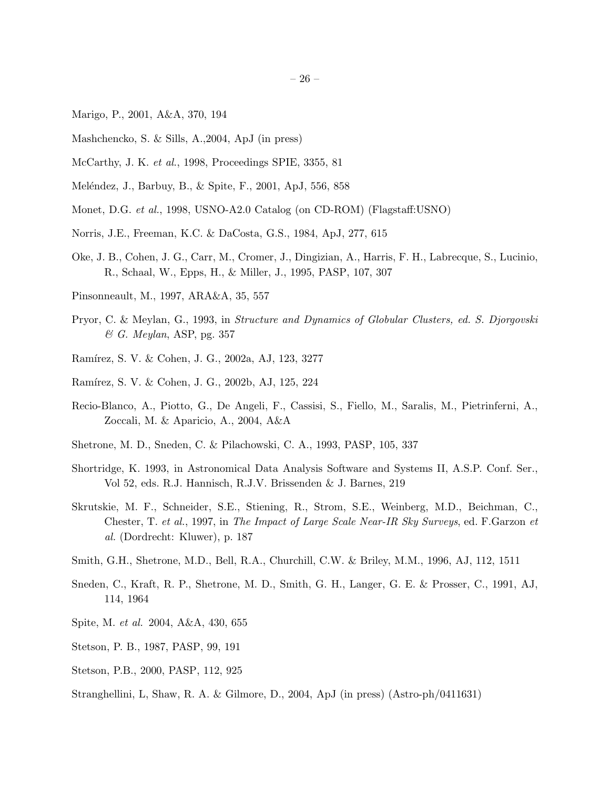- Marigo, P., 2001, A&A, 370, 194
- Mashchencko, S. & Sills, A.,2004, ApJ (in press)
- McCarthy, J. K. *et al.*, 1998, Proceedings SPIE, 3355, 81
- Meléndez, J., Barbuy, B., & Spite, F., 2001, ApJ, 556, 858
- Monet, D.G. *et al.*, 1998, USNO-A2.0 Catalog (on CD-ROM) (Flagstaff:USNO)
- Norris, J.E., Freeman, K.C. & DaCosta, G.S., 1984, ApJ, 277, 615
- Oke, J. B., Cohen, J. G., Carr, M., Cromer, J., Dingizian, A., Harris, F. H., Labrecque, S., Lucinio, R., Schaal, W., Epps, H., & Miller, J., 1995, PASP, 107, 307
- Pinsonneault, M., 1997, ARA&A, 35, 557
- Pryor, C. & Meylan, G., 1993, in *Structure and Dynamics of Globular Clusters, ed. S. Djorgovski & G. Meylan*, ASP, pg. 357
- Ramírez, S. V. & Cohen, J. G., 2002a, AJ, 123, 3277
- Ramírez, S. V. & Cohen, J. G., 2002b, AJ, 125, 224
- Recio-Blanco, A., Piotto, G., De Angeli, F., Cassisi, S., Fiello, M., Saralis, M., Pietrinferni, A., Zoccali, M. & Aparicio, A., 2004, A&A
- Shetrone, M. D., Sneden, C. & Pilachowski, C. A., 1993, PASP, 105, 337
- Shortridge, K. 1993, in Astronomical Data Analysis Software and Systems II, A.S.P. Conf. Ser., Vol 52, eds. R.J. Hannisch, R.J.V. Brissenden & J. Barnes, 219
- Skrutskie, M. F., Schneider, S.E., Stiening, R., Strom, S.E., Weinberg, M.D., Beichman, C., Chester, T. *et al.*, 1997, in *The Impact of Large Scale Near-IR Sky Surveys*, ed. F.Garzon *et al.* (Dordrecht: Kluwer), p. 187
- Smith, G.H., Shetrone, M.D., Bell, R.A., Churchill, C.W. & Briley, M.M., 1996, AJ, 112, 1511
- Sneden, C., Kraft, R. P., Shetrone, M. D., Smith, G. H., Langer, G. E. & Prosser, C., 1991, AJ, 114, 1964
- Spite, M. *et al.* 2004, A&A, 430, 655
- Stetson, P. B., 1987, PASP, 99, 191
- Stetson, P.B., 2000, PASP, 112, 925
- Stranghellini, L, Shaw, R. A. & Gilmore, D., 2004, ApJ (in press) (Astro-ph/0411631)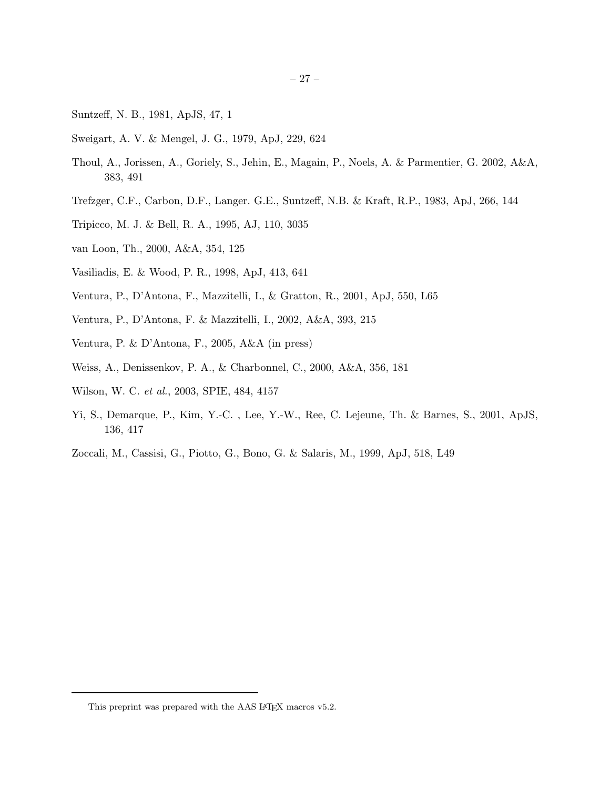- Suntzeff, N. B., 1981, ApJS, 47, 1
- Sweigart, A. V. & Mengel, J. G., 1979, ApJ, 229, 624
- Thoul, A., Jorissen, A., Goriely, S., Jehin, E., Magain, P., Noels, A. & Parmentier, G. 2002, A&A, 383, 491
- Trefzger, C.F., Carbon, D.F., Langer. G.E., Suntzeff, N.B. & Kraft, R.P., 1983, ApJ, 266, 144
- Tripicco, M. J. & Bell, R. A., 1995, AJ, 110, 3035
- van Loon, Th., 2000, A&A, 354, 125
- Vasiliadis, E. & Wood, P. R., 1998, ApJ, 413, 641
- Ventura, P., D'Antona, F., Mazzitelli, I., & Gratton, R., 2001, ApJ, 550, L65
- Ventura, P., D'Antona, F. & Mazzitelli, I., 2002, A&A, 393, 215
- Ventura, P. & D'Antona, F., 2005, A&A (in press)
- Weiss, A., Denissenkov, P. A., & Charbonnel, C., 2000, A&A, 356, 181
- Wilson, W. C. *et al.*, 2003, SPIE, 484, 4157
- Yi, S., Demarque, P., Kim, Y.-C. , Lee, Y.-W., Ree, C. Lejeune, Th. & Barnes, S., 2001, ApJS, 136, 417
- Zoccali, M., Cassisi, G., Piotto, G., Bono, G. & Salaris, M., 1999, ApJ, 518, L49

This preprint was prepared with the AAS IATEX macros v5.2.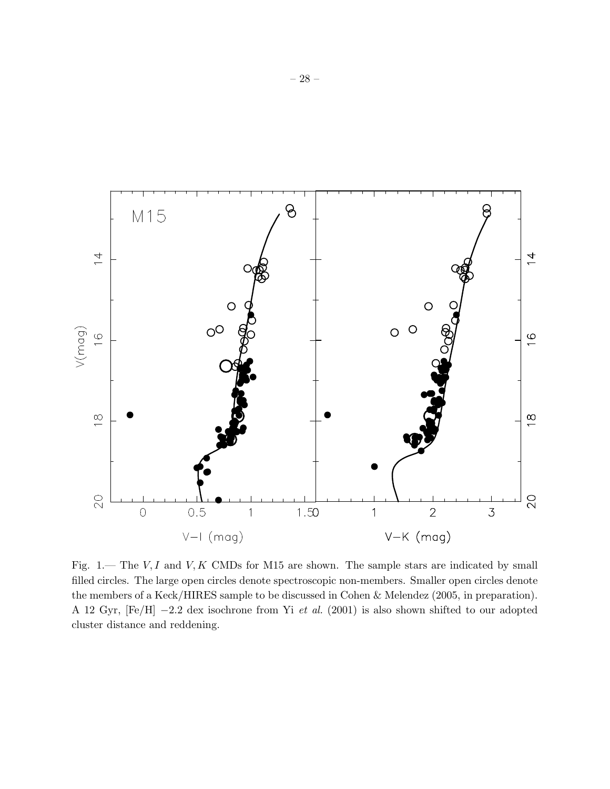

Fig. 1.— The  $V, I$  and  $V, K$  CMDs for M15 are shown. The sample stars are indicated by small filled circles. The large open circles denote spectroscopic non-members. Smaller open circles denote the members of a Keck/HIRES sample to be discussed in Cohen & Melendez (2005, in preparation). A 12 Gyr, [Fe/H] −2.2 dex isochrone from Yi *et al.* (2001) is also shown shifted to our adopted cluster distance and reddening.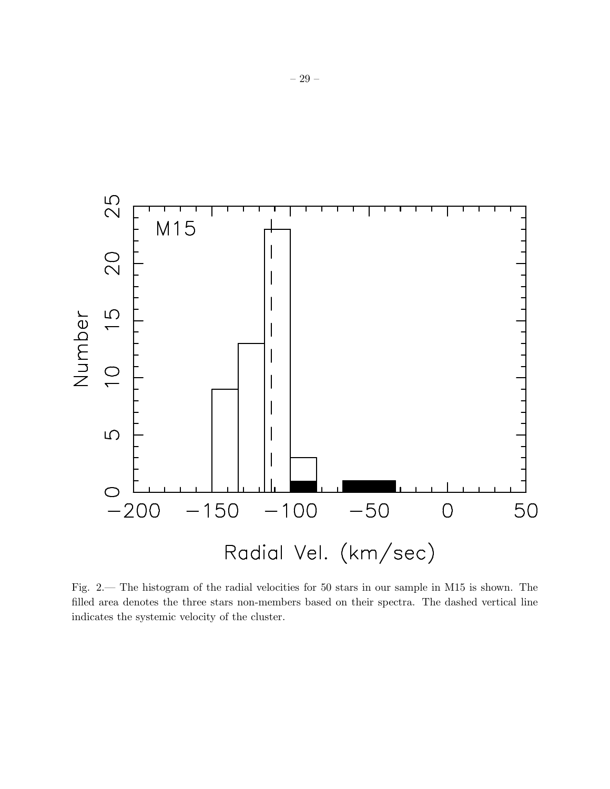

Fig. 2.— The histogram of the radial velocities for 50 stars in our sample in M15 is shown. The filled area denotes the three stars non-members based on their spectra. The dashed vertical line indicates the systemic velocity of the cluster.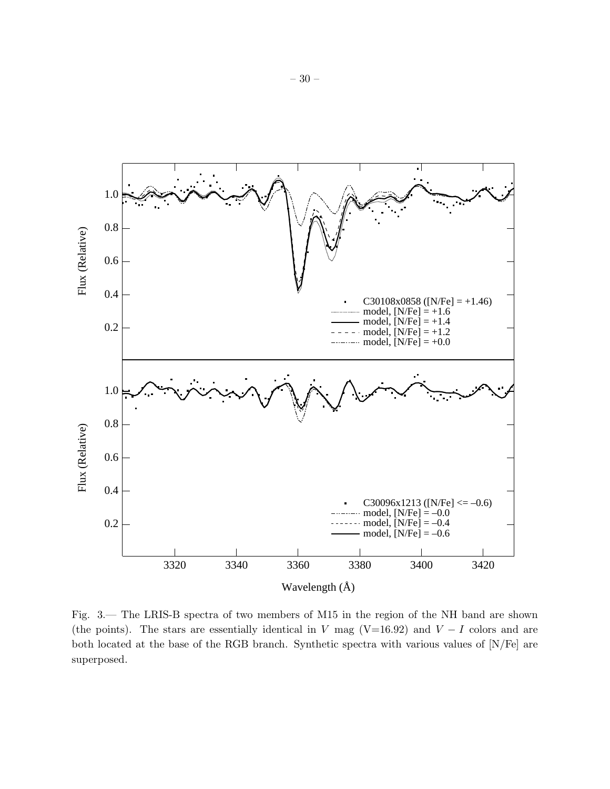

Fig. 3.— The LRIS-B spectra of two members of M15 in the region of the NH band are shown (the points). The stars are essentially identical in V mag (V=16.92) and V – I colors and are both located at the base of the RGB branch. Synthetic spectra with various values of [N/Fe] are superposed.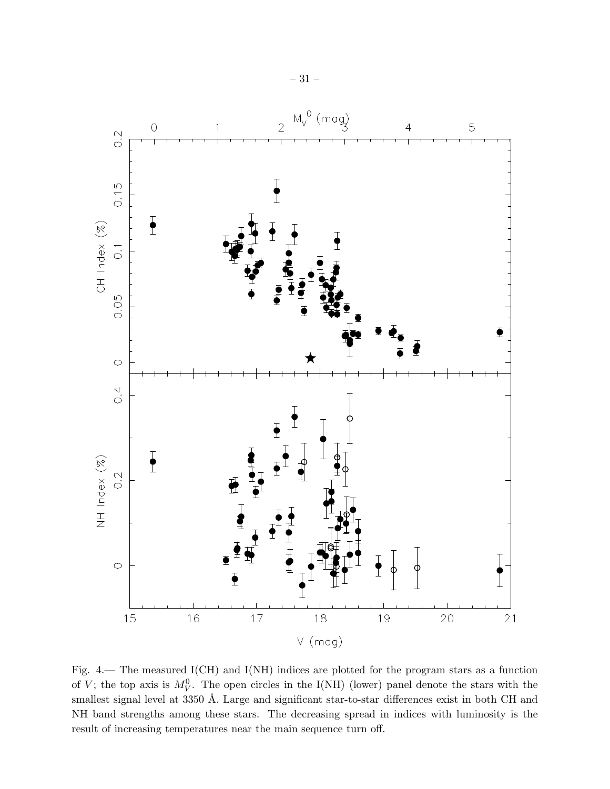

Fig. 4.— The measured I(CH) and I(NH) indices are plotted for the program stars as a function of V; the top axis is  $M_V^0$ . The open circles in the I(NH) (lower) panel denote the stars with the smallest signal level at 3350 Å. Large and significant star-to-star differences exist in both CH and NH band strengths among these stars. The decreasing spread in indices with luminosity is the result of increasing temperatures near the main sequence turn off.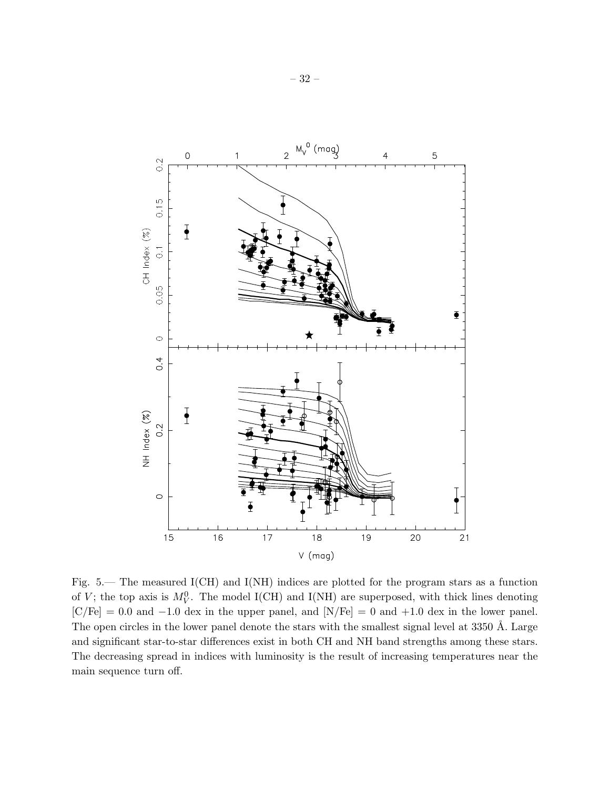

Fig. 5.— The measured I(CH) and I(NH) indices are plotted for the program stars as a function of V; the top axis is  $M_V^0$ . The model I(CH) and I(NH) are superposed, with thick lines denoting  $[C/Fe] = 0.0$  and  $-1.0$  dex in the upper panel, and  $[N/Fe] = 0$  and  $+1.0$  dex in the lower panel. The open circles in the lower panel denote the stars with the smallest signal level at 3350 Å. Large and significant star-to-star differences exist in both CH and NH band strengths among these stars. The decreasing spread in indices with luminosity is the result of increasing temperatures near the main sequence turn off.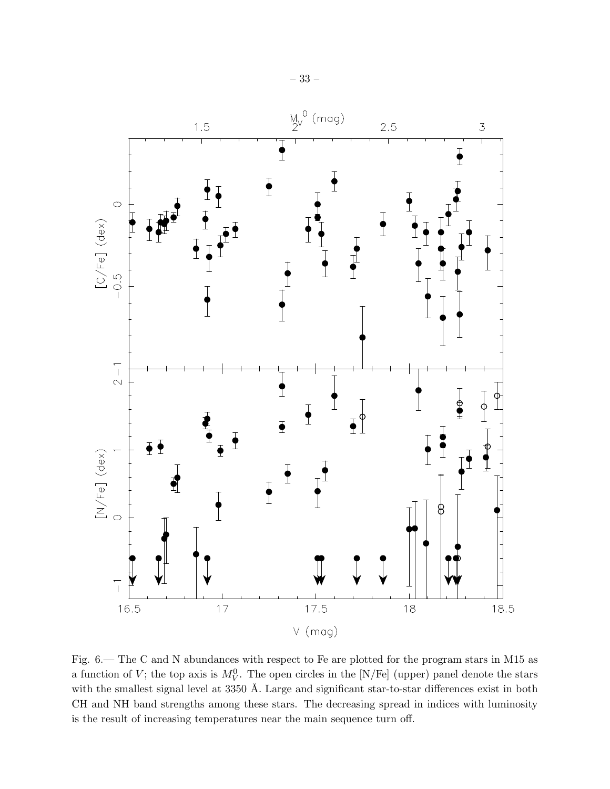

Fig. 6.— The C and N abundances with respect to Fe are plotted for the program stars in M15 as a function of V; the top axis is  $M_V^0$ . The open circles in the [N/Fe] (upper) panel denote the stars with the smallest signal level at 3350 Å. Large and significant star-to-star differences exist in both CH and NH band strengths among these stars. The decreasing spread in indices with luminosity is the result of increasing temperatures near the main sequence turn off.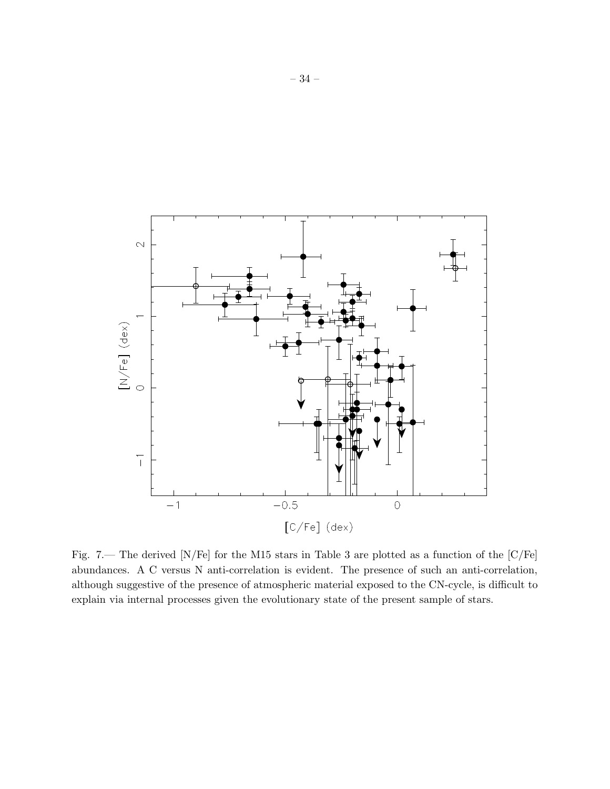

Fig. 7.— The derived [N/Fe] for the M15 stars in Table 3 are plotted as a function of the [C/Fe] abundances. A C versus N anti-correlation is evident. The presence of such an anti-correlation, although suggestive of the presence of atmospheric material exposed to the CN-cycle, is difficult to explain via internal processes given the evolutionary state of the present sample of stars.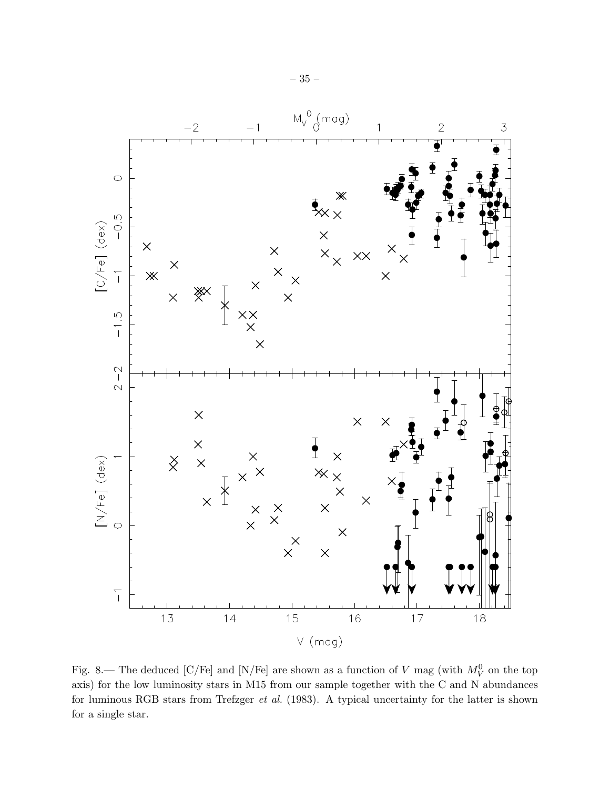

Fig. 8.— The deduced [C/Fe] and [N/Fe] are shown as a function of V mag (with  $M_V^0$  on the top axis) for the low luminosity stars in M15 from our sample together with the C and N abundances for luminous RGB stars from Trefzger *et al.* (1983). A typical uncertainty for the latter is shown for a single star.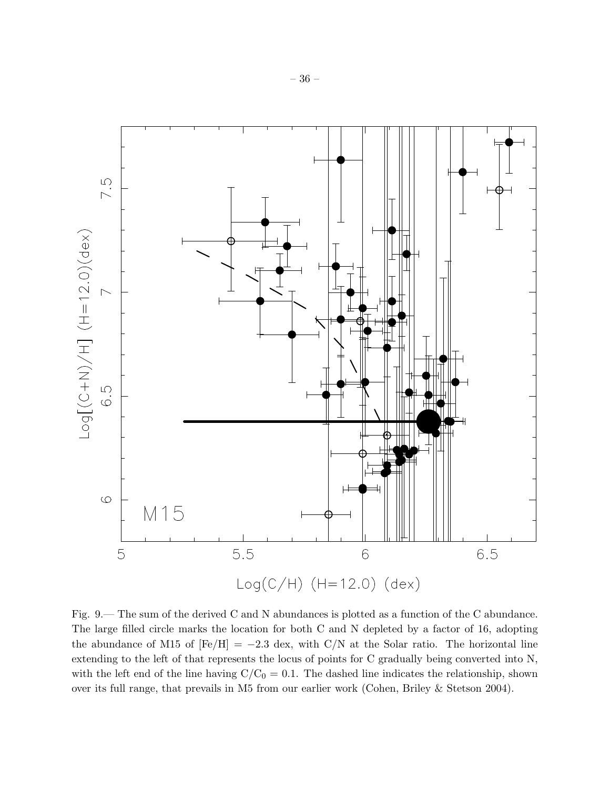

Fig. 9.— The sum of the derived C and N abundances is plotted as a function of the C abundance. The large filled circle marks the location for both C and N depleted by a factor of 16, adopting the abundance of M15 of  $[Fe/H] = -2.3$  dex, with C/N at the Solar ratio. The horizontal line extending to the left of that represents the locus of points for C gradually being converted into N, with the left end of the line having  $C/C_0 = 0.1$ . The dashed line indicates the relationship, shown over its full range, that prevails in M5 from our earlier work (Cohen, Briley & Stetson 2004).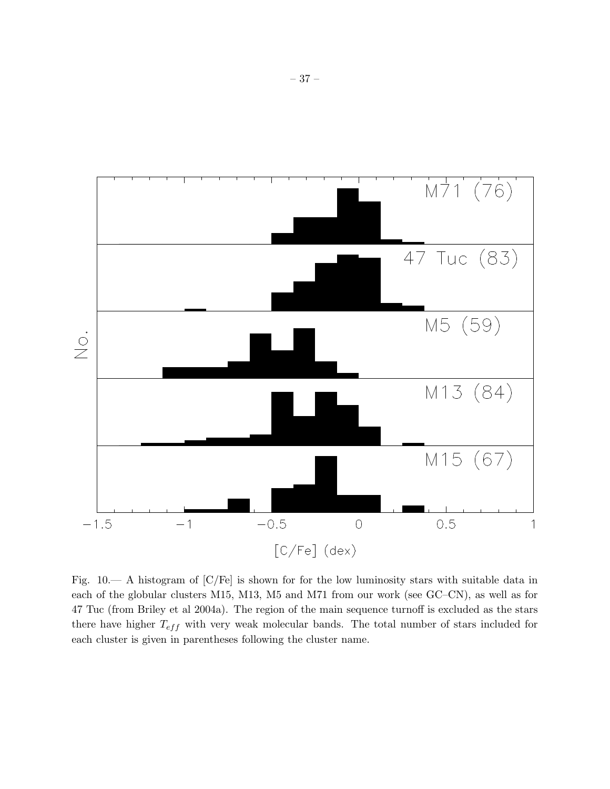

Fig. 10.— A histogram of [C/Fe] is shown for for the low luminosity stars with suitable data in each of the globular clusters M15, M13, M5 and M71 from our work (see GC–CN), as well as for 47 Tuc (from Briley et al 2004a). The region of the main sequence turnoff is excluded as the stars there have higher  $T_{eff}$  with very weak molecular bands. The total number of stars included for each cluster is given in parentheses following the cluster name.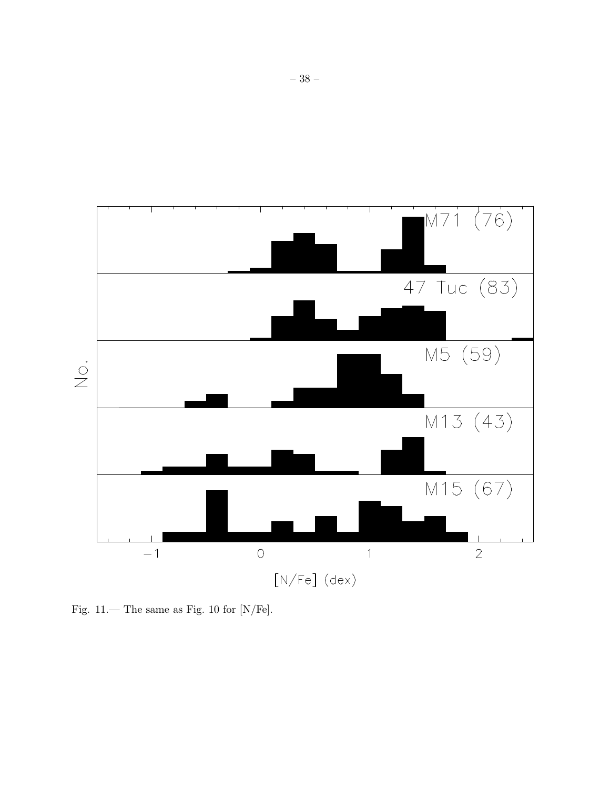

Fig. 11.— The same as Fig. 10 for [N/Fe].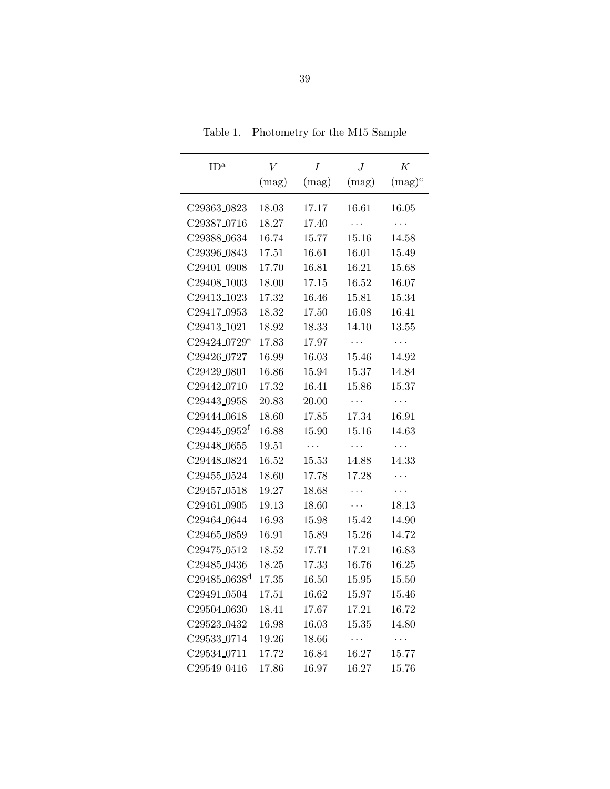| ID <sup>a</sup>          | $\bar{V}$ | I     | $\cal J$ | K         |
|--------------------------|-----------|-------|----------|-----------|
|                          | (mag)     | (mag) | (mag)    | $(mag)^c$ |
| C29363_0823              | 18.03     | 17.17 | 16.61    | 16.05     |
| C29387_0716              | 18.27     | 17.40 |          |           |
| C29388_0634              | 16.74     | 15.77 | 15.16    | 14.58     |
| C29396_0843              | 17.51     | 16.61 | 16.01    | 15.49     |
| C29401_0908              | 17.70     | 16.81 | 16.21    | 15.68     |
| C29408_1003              | 18.00     | 17.15 | 16.52    | 16.07     |
| C29413_1023              | 17.32     | 16.46 | 15.81    | 15.34     |
| C29417_0953              | 18.32     | 17.50 | 16.08    | 16.41     |
| C29413_1021              | 18.92     | 18.33 | 14.10    | 13.55     |
| C29424_0729 <sup>e</sup> | 17.83     | 17.97 | .        |           |
| C29426_0727              | 16.99     | 16.03 | 15.46    | 14.92     |
| C29429_0801              | 16.86     | 15.94 | 15.37    | 14.84     |
| C29442_0710              | 17.32     | 16.41 | 15.86    | 15.37     |
| C29443_0958              | 20.83     | 20.00 | .        |           |
| C29444_0618              | 18.60     | 17.85 | 17.34    | 16.91     |
| $C29445\_0952^f$         | 16.88     | 15.90 | 15.16    | 14.63     |
| C29448_0655              | 19.51     | .     | .        | $\ddotsc$ |
| C29448_0824              | 16.52     | 15.53 | 14.88    | 14.33     |
| C29455_0524              | 18.60     | 17.78 | 17.28    |           |
| C29457_0518              | 19.27     | 18.68 | $\cdots$ | $\ddotsc$ |
| C29461_0905              | 19.13     | 18.60 | $\cdots$ | 18.13     |
| C29464_0644              | 16.93     | 15.98 | 15.42    | 14.90     |
| C29465_0859              | 16.91     | 15.89 | 15.26    | 14.72     |
| C29475_0512              | 18.52     | 17.71 | 17.21    | 16.83     |
| C29485_0436              | 18.25     | 17.33 | 16.76    | 16.25     |
| $C29485_{-0638}^{d}$     | 17.35     | 16.50 | 15.95    | 15.50     |
| C29491_0504              | 17.51     | 16.62 | 15.97    | 15.46     |
| C29504_0630              | 18.41     | 17.67 | 17.21    | 16.72     |
| C29523_0432              | 16.98     | 16.03 | 15.35    | 14.80     |
| C29533_0714              | 19.26     | 18.66 | .        | .         |
| C29534_0711              | 17.72     | 16.84 | 16.27    | 15.77     |
| C29549_0416              | 17.86     | 16.97 | 16.27    | 15.76     |

Table 1. Photometry for the M15 Sample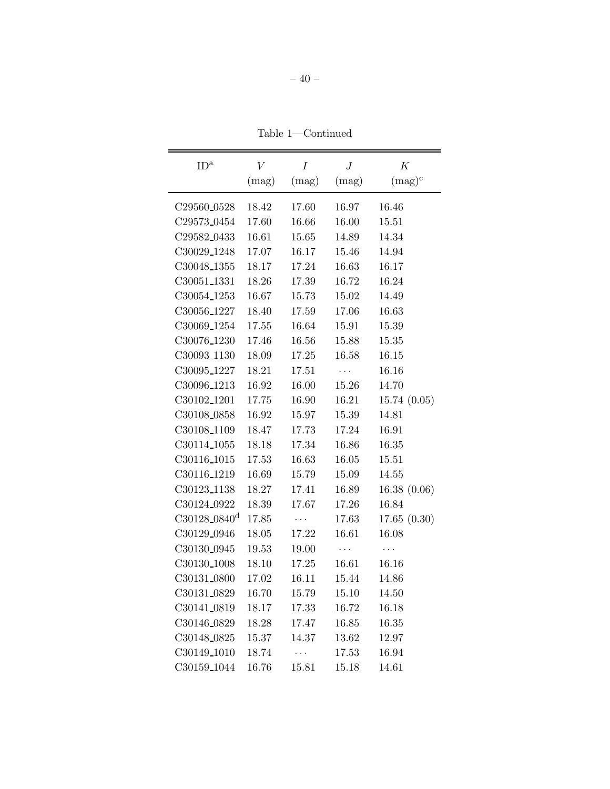Table 1—Continued

| ID <sup>a</sup>         | $\bar{V}$ | I                       | $\boldsymbol{J}$        | Κ           |
|-------------------------|-----------|-------------------------|-------------------------|-------------|
|                         | (mag)     | (mag)                   | (mag)                   | $(mag)^c$   |
| C <sub>29560</sub> 0528 | 18.42     | 17.60                   | 16.97                   | 16.46       |
| C29573_0454             | 17.60     | 16.66                   | 16.00                   | 15.51       |
| C29582_0433             | 16.61     | 15.65                   | 14.89                   | 14.34       |
| C30029 <sub>-1248</sub> | 17.07     | 16.17                   | 15.46                   | 14.94       |
| C30048 1355             | 18.17     | 17.24                   | 16.63                   | 16.17       |
| C30051_1331             | 18.26     | 17.39                   | 16.72                   | 16.24       |
| C30054 <sub>-1253</sub> | 16.67     | 15.73                   | 15.02                   | 14.49       |
| C30056 <sub>-1227</sub> | 18.40     | 17.59                   | 17.06                   | 16.63       |
| C30069_1254             | 17.55     | 16.64                   | 15.91                   | 15.39       |
| C30076 <sub>-1230</sub> | 17.46     | 16.56                   | 15.88                   | 15.35       |
| C30093_1130             | 18.09     | 17.25                   | 16.58                   | 16.15       |
| C30095_1227             | 18.21     | 17.51                   | $\sim 100$ km s $^{-1}$ | 16.16       |
| C30096_1213             | 16.92     | 16.00                   | 15.26                   | 14.70       |
| C30102_1201             | 17.75     | 16.90                   | 16.21                   | 15.74(0.05) |
| C30108_0858             | 16.92     | 15.97                   | 15.39                   | 14.81       |
| C30108_1109             | 18.47     | 17.73                   | 17.24                   | 16.91       |
| C30114_1055             | 18.18     | 17.34                   | 16.86                   | 16.35       |
| C30116_1015             | 17.53     | 16.63                   | 16.05                   | 15.51       |
| C30116_1219             | 16.69     | 15.79                   | 15.09                   | 14.55       |
| C30123_1138             | 18.27     | 17.41                   | 16.89                   | 16.38(0.06) |
| C30124_0922             | 18.39     | 17.67                   | 17.26                   | 16.84       |
| $C30128\_0840^d$        | 17.85     | $\sim 100$ km s $^{-1}$ | 17.63                   | 17.65(0.30) |
| C30129_0946             | 18.05     | 17.22                   | 16.61                   | 16.08       |
| C30130_0945             | 19.53     | 19.00                   | $\ddotsc$               | $\cdots$    |
| C30130 <sub>1008</sub>  | 18.10     | 17.25                   | 16.61                   | 16.16       |
| C30131_0800             | 17.02     | 16.11                   | 15.44                   | 14.86       |
| C30131_0829             | 16.70     | 15.79                   | 15.10                   | 14.50       |
| C30141_0819             | 18.17     | 17.33                   | 16.72                   | 16.18       |
| C30146_0829             | 18.28     | 17.47                   | 16.85                   | 16.35       |
| C30148_0825             | 15.37     | 14.37                   | 13.62                   | 12.97       |
| C30149_1010             | 18.74     | .                       | 17.53                   | 16.94       |
| C30159_1044             | 16.76     | 15.81                   | $15.18\,$               | 14.61       |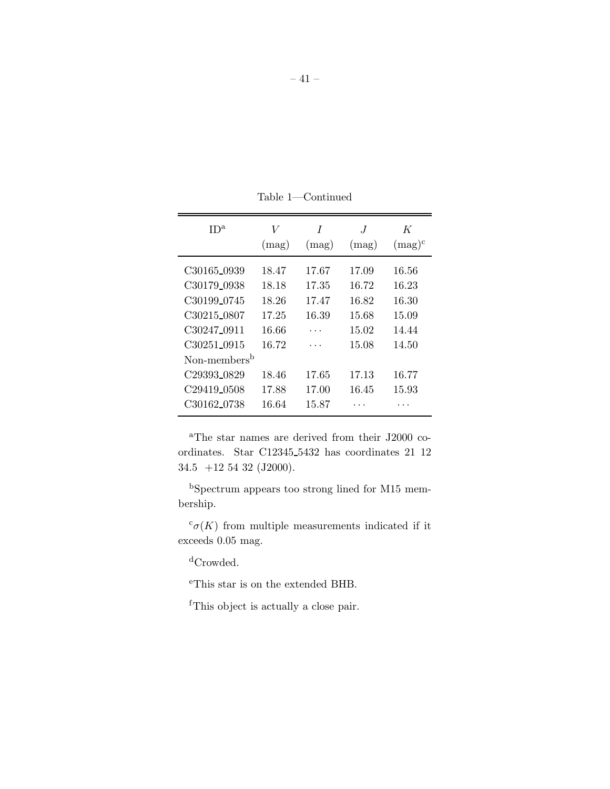| $\mathbb{D}^a$                                                                                                                                                      | V<br>(mag)                                         | I<br>(mag)                            | . I<br>(mag)                                       | K<br>$(mag)^c$                                     |
|---------------------------------------------------------------------------------------------------------------------------------------------------------------------|----------------------------------------------------|---------------------------------------|----------------------------------------------------|----------------------------------------------------|
| C30165_0939<br>C30179 <sub>-0938</sub><br>C30199 0745<br>C <sub>3</sub> 0215 <sub>-0807</sub><br>C30247 <sub>-0911</sub><br>C30251_0915<br>Non-members <sup>b</sup> | 18.47<br>18.18<br>18.26<br>17.25<br>16.66<br>16.72 | 17.67<br>17.35<br>17.47<br>16.39<br>. | 17.09<br>16.72<br>16.82<br>15.68<br>15.02<br>15.08 | 16.56<br>16.23<br>16.30<br>15.09<br>14.44<br>14.50 |
| C <sub>29393</sub> _0829<br>C <sub>29419</sub> 0508<br>C30162_0738                                                                                                  | 18.46<br>17.88<br>16.64                            | 17.65<br>17.00<br>15.87               | 17.13<br>16.45                                     | 16.77<br>15.93                                     |

Table 1—Continued

<sup>a</sup>The star names are derived from their J2000 coordinates. Star C12345 5432 has coordinates 21 12 34.5 +12 54 32 (J2000).

<sup>b</sup>Spectrum appears too strong lined for M15 membership.

 $c_{\sigma}(K)$  from multiple measurements indicated if it exceeds 0.05 mag.

<sup>d</sup>Crowded.

<sup>e</sup>This star is on the extended BHB.

fThis object is actually a close pair.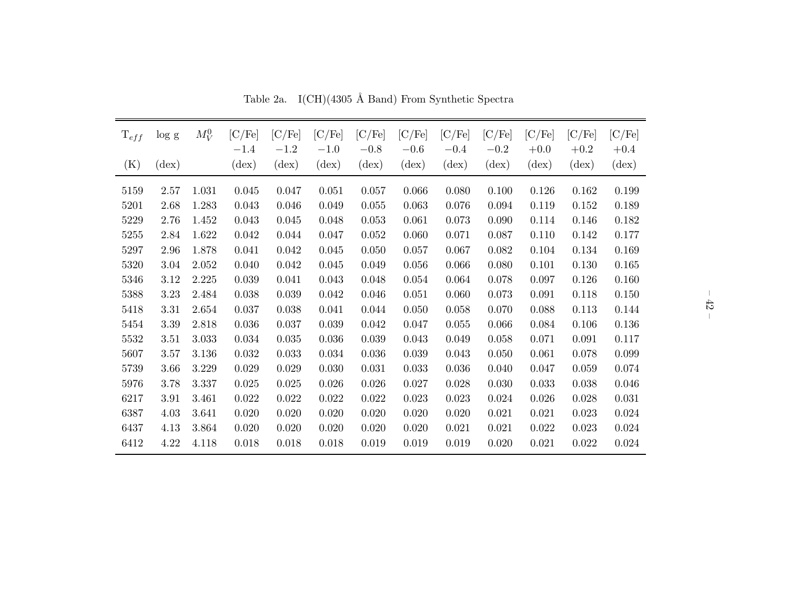| $T_{eff}$ | $\log g$       | $M_V^0$ | $\left[{\rm C/Fe}\right]$<br>$-1.4$ | $\left[{\rm C/Fe}\right]$<br>$-1.2$ | $\left[{\rm C/Fe}\right]$<br>$-1.0$ | [C,<br>$^{\prime}$ Fe]<br>$-0.8$ | $[\mathrm{C}/% \mathbb{Z}^{n}]$<br>$^{\prime}$ Fe]<br>$-0.6$ | $\left[{\rm C/Fe}\right]$<br>$-0.4$ | $\left[{\rm C/Fe}\right]$<br>$-0.2$ | $[\mathrm{C}/$<br>$\rm [Fe]$<br>$+0.0$ | $\left[{\rm C/Fe}\right]$<br>$+0.2$ | [C/Fe]<br>$+0.4$ |
|-----------|----------------|---------|-------------------------------------|-------------------------------------|-------------------------------------|----------------------------------|--------------------------------------------------------------|-------------------------------------|-------------------------------------|----------------------------------------|-------------------------------------|------------------|
| (K)       | $(\text{dex})$ |         | $(\text{dex})$                      | $(\text{dex})$                      | $(\text{dex})$                      | $(\text{dex})$                   | $(\text{dex})$                                               | $(\text{dex})$                      | $(\text{dex})$                      | $(\text{dex})$                         | $(\text{dex})$                      | $(\text{dex})$   |
| 5159      | 2.57           | 1.031   | 0.045                               | 0.047                               | 0.051                               | 0.057                            | 0.066                                                        | 0.080                               | 0.100                               | 0.126                                  | 0.162                               | 0.199            |
| 5201      | 2.68           | 1.283   | 0.043                               | 0.046                               | 0.049                               | 0.055                            | 0.063                                                        | 0.076                               | 0.094                               | 0.119                                  | 0.152                               | 0.189            |
| 5229      | 2.76           | 1.452   | 0.043                               | 0.045                               | 0.048                               | 0.053                            | 0.061                                                        | 0.073                               | 0.090                               | 0.114                                  | 0.146                               | 0.182            |
| 5255      | 2.84           | 1.622   | 0.042                               | 0.044                               | 0.047                               | 0.052                            | 0.060                                                        | 0.071                               | 0.087                               | 0.110                                  | 0.142                               | 0.177            |
| 5297      | 2.96           | 1.878   | 0.041                               | 0.042                               | 0.045                               | 0.050                            | 0.057                                                        | 0.067                               | 0.082                               | 0.104                                  | 0.134                               | 0.169            |
| 5320      | 3.04           | 2.052   | 0.040                               | 0.042                               | 0.045                               | 0.049                            | 0.056                                                        | 0.066                               | 0.080                               | 0.101                                  | 0.130                               | 0.165            |
| 5346      | 3.12           | 2.225   | 0.039                               | 0.041                               | 0.043                               | 0.048                            | 0.054                                                        | 0.064                               | 0.078                               | 0.097                                  | 0.126                               | 0.160            |
| 5388      | 3.23           | 2.484   | 0.038                               | 0.039                               | 0.042                               | 0.046                            | 0.051                                                        | 0.060                               | 0.073                               | 0.091                                  | 0.118                               | 0.150            |
| 5418      | 3.31           | 2.654   | 0.037                               | 0.038                               | 0.041                               | 0.044                            | 0.050                                                        | 0.058                               | 0.070                               | 0.088                                  | 0.113                               | 0.144            |
| 5454      | 3.39           | 2.818   | 0.036                               | 0.037                               | 0.039                               | 0.042                            | 0.047                                                        | 0.055                               | 0.066                               | 0.084                                  | 0.106                               | 0.136            |
| 5532      | 3.51           | 3.033   | 0.034                               | 0.035                               | 0.036                               | 0.039                            | 0.043                                                        | 0.049                               | 0.058                               | 0.071                                  | 0.091                               | 0.117            |
| 5607      | 3.57           | 3.136   | 0.032                               | 0.033                               | 0.034                               | 0.036                            | 0.039                                                        | 0.043                               | 0.050                               | 0.061                                  | 0.078                               | 0.099            |
| 5739      | 3.66           | 3.229   | 0.029                               | 0.029                               | 0.030                               | 0.031                            | 0.033                                                        | 0.036                               | 0.040                               | 0.047                                  | 0.059                               | 0.074            |
| 5976      | 3.78           | 3.337   | 0.025                               | 0.025                               | 0.026                               | 0.026                            | 0.027                                                        | 0.028                               | 0.030                               | 0.033                                  | 0.038                               | 0.046            |
| 6217      | 3.91           | 3.461   | 0.022                               | 0.022                               | 0.022                               | 0.022                            | 0.023                                                        | 0.023                               | 0.024                               | 0.026                                  | 0.028                               | 0.031            |
| 6387      | 4.03           | 3.641   | 0.020                               | 0.020                               | 0.020                               | 0.020                            | 0.020                                                        | 0.020                               | 0.021                               | 0.021                                  | 0.023                               | 0.024            |
| 6437      | 4.13           | 3.864   | 0.020                               | 0.020                               | 0.020                               | 0.020                            | 0.020                                                        | 0.021                               | 0.021                               | 0.022                                  | 0.023                               | 0.024            |
| 6412      | 4.22           | 4.118   | 0.018                               | 0.018                               | 0.018                               | 0.019                            | 0.019                                                        | 0.019                               | 0.020                               | 0.021                                  | 0.022                               | 0.024            |

Table 2a.  $\,$  I(CH)(4305 Å Band) From Synthetic Spectra

 $-42 -$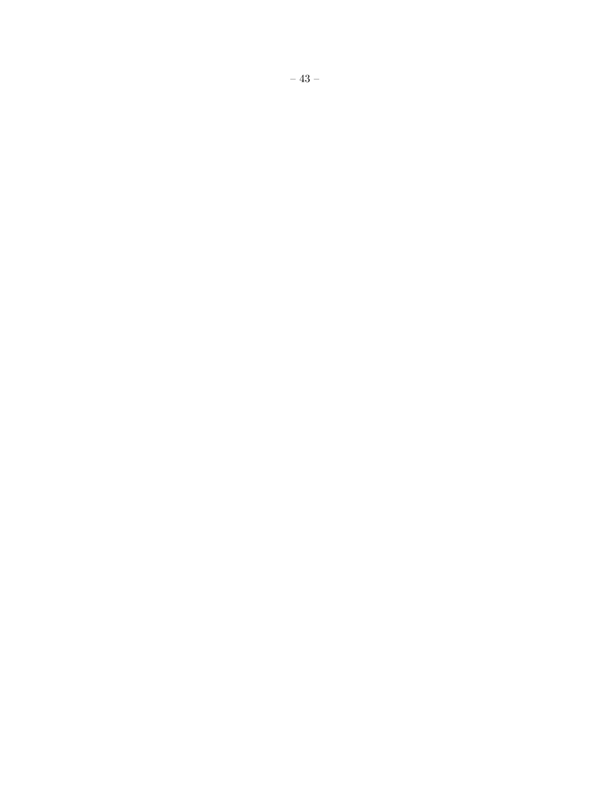

– 43 –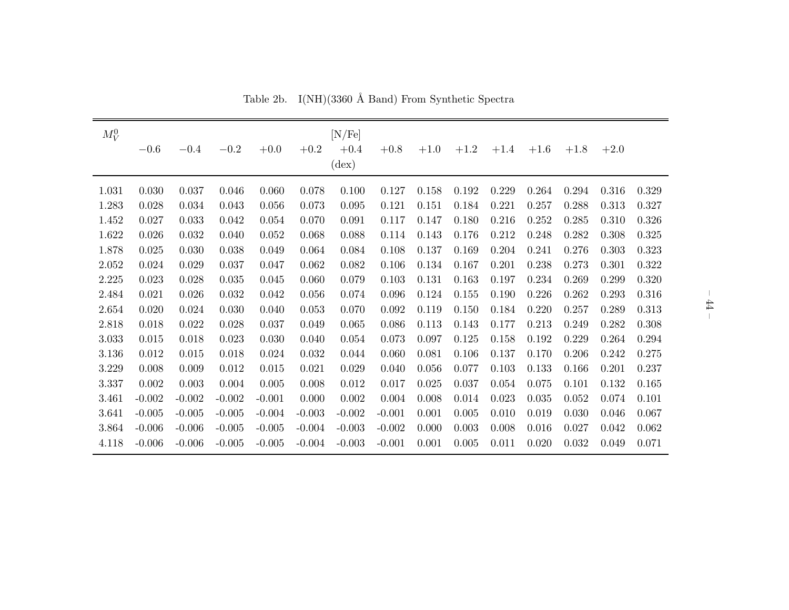| $M_V^0$ |          |          |          |          |          | [N/Fe]         |          |        |        |        |        |        |           |           |
|---------|----------|----------|----------|----------|----------|----------------|----------|--------|--------|--------|--------|--------|-----------|-----------|
|         | $-0.6$   | $-0.4$   | $-0.2$   | $+0.0$   | $+0.2$   | $+0.4$         | $+0.8$   | $+1.0$ | $+1.2$ | $+1.4$ | $+1.6$ | $+1.8$ | $+2.0$    |           |
|         |          |          |          |          |          | $(\text{dex})$ |          |        |        |        |        |        |           |           |
| 1.031   | 0.030    | 0.037    | 0.046    | 0.060    | 0.078    | 0.100          | 0.127    | 0.158  | 0.192  | 0.229  | 0.264  | 0.294  | 0.316     | 0.329     |
| 1.283   | 0.028    | 0.034    | 0.043    | 0.056    | 0.073    | 0.095          | 0.121    | 0.151  | 0.184  | 0.221  | 0.257  | 0.288  | 0.313     | 0.327     |
| 1.452   | 0.027    | 0.033    | 0.042    | 0.054    | 0.070    | 0.091          | 0.117    | 0.147  | 0.180  | 0.216  | 0.252  | 0.285  | 0.310     | 0.326     |
| 1.622   | 0.026    | 0.032    | 0.040    | 0.052    | 0.068    | 0.088          | 0.114    | 0.143  | 0.176  | 0.212  | 0.248  | 0.282  | 0.308     | 0.325     |
| 1.878   | 0.025    | 0.030    | 0.038    | 0.049    | 0.064    | 0.084          | 0.108    | 0.137  | 0.169  | 0.204  | 0.241  | 0.276  | 0.303     | 0.323     |
| 2.052   | 0.024    | 0.029    | 0.037    | 0.047    | 0.062    | 0.082          | 0.106    | 0.134  | 0.167  | 0.201  | 0.238  | 0.273  | $0.301\,$ | 0.322     |
| 2.225   | 0.023    | 0.028    | 0.035    | 0.045    | 0.060    | 0.079          | 0.103    | 0.131  | 0.163  | 0.197  | 0.234  | 0.269  | 0.299     | 0.320     |
| 2.484   | 0.021    | 0.026    | 0.032    | 0.042    | 0.056    | 0.074          | 0.096    | 0.124  | 0.155  | 0.190  | 0.226  | 0.262  | 0.293     | $0.316\,$ |
| 2.654   | 0.020    | 0.024    | 0.030    | 0.040    | 0.053    | 0.070          | 0.092    | 0.119  | 0.150  | 0.184  | 0.220  | 0.257  | 0.289     | 0.313     |
| 2.818   | 0.018    | 0.022    | 0.028    | 0.037    | 0.049    | 0.065          | 0.086    | 0.113  | 0.143  | 0.177  | 0.213  | 0.249  | 0.282     | 0.308     |
| 3.033   | 0.015    | 0.018    | 0.023    | 0.030    | 0.040    | 0.054          | 0.073    | 0.097  | 0.125  | 0.158  | 0.192  | 0.229  | 0.264     | 0.294     |
| 3.136   | 0.012    | 0.015    | 0.018    | 0.024    | 0.032    | 0.044          | 0.060    | 0.081  | 0.106  | 0.137  | 0.170  | 0.206  | 0.242     | 0.275     |
| 3.229   | 0.008    | 0.009    | 0.012    | 0.015    | 0.021    | 0.029          | 0.040    | 0.056  | 0.077  | 0.103  | 0.133  | 0.166  | 0.201     | 0.237     |
| 3.337   | 0.002    | 0.003    | 0.004    | 0.005    | 0.008    | 0.012          | 0.017    | 0.025  | 0.037  | 0.054  | 0.075  | 0.101  | 0.132     | 0.165     |
| 3.461   | $-0.002$ | $-0.002$ | $-0.002$ | $-0.001$ | 0.000    | 0.002          | 0.004    | 0.008  | 0.014  | 0.023  | 0.035  | 0.052  | 0.074     | 0.101     |
| 3.641   | $-0.005$ | $-0.005$ | $-0.005$ | $-0.004$ | $-0.003$ | $-0.002$       | $-0.001$ | 0.001  | 0.005  | 0.010  | 0.019  | 0.030  | 0.046     | 0.067     |
| 3.864   | $-0.006$ | $-0.006$ | $-0.005$ | $-0.005$ | $-0.004$ | $-0.003$       | $-0.002$ | 0.000  | 0.003  | 0.008  | 0.016  | 0.027  | 0.042     | 0.062     |
| 4.118   | $-0.006$ | $-0.006$ | $-0.005$ | $-0.005$ | $-0.004$ | $-0.003$       | $-0.001$ | 0.001  | 0.005  | 0.011  | 0.020  | 0.032  | 0.049     | 0.071     |

Table 2b.  $\,$  I(NH)(3360 Å Band) From Synthetic Spectra

 $-44 -$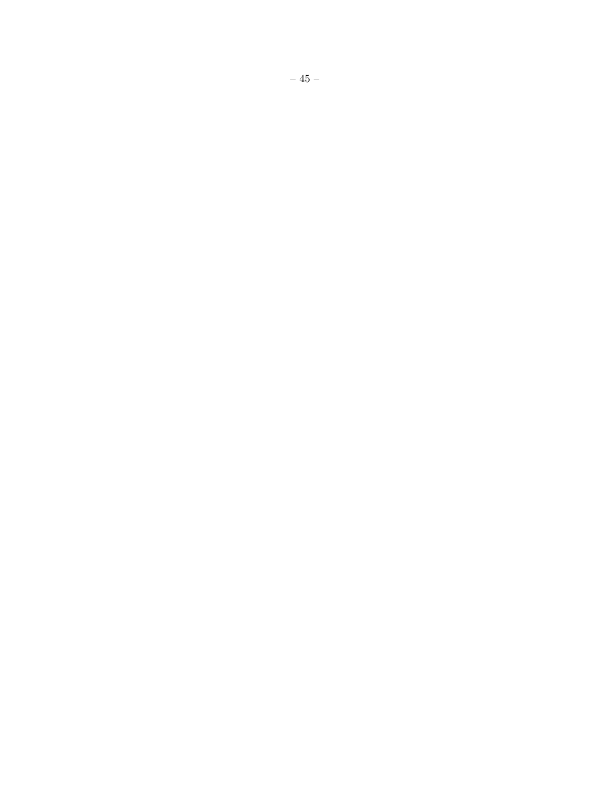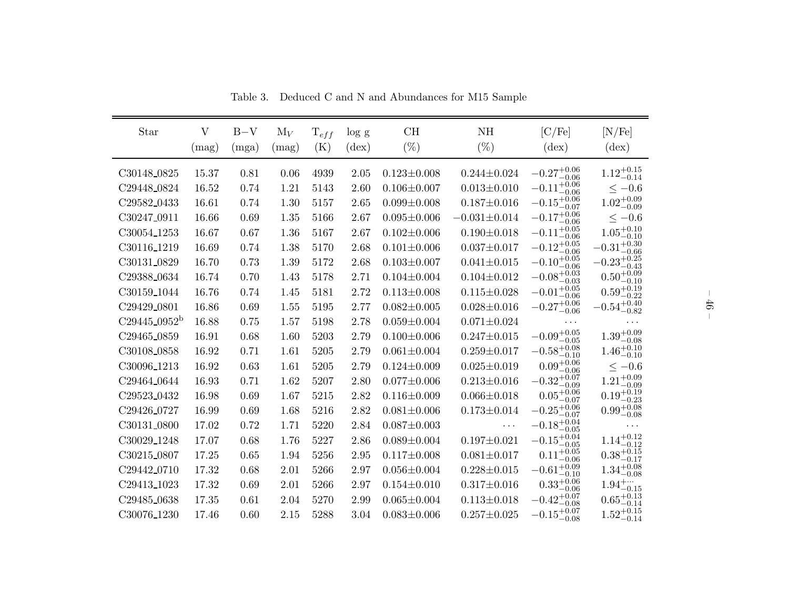| Star                   | V<br>(mag) | $B-V$<br>(mga) | $\mathrm{M}_V$<br>$(\text{mag})$ | $T_{eff}$<br>(K) | $\log g$<br>$(\text{dex})$ | CH<br>$(\%)$      | NH<br>$(\%)$       | [C/Fe]<br>$(\text{dex})$           | [N/Fe]<br>$(\text{dex})$                 |
|------------------------|------------|----------------|----------------------------------|------------------|----------------------------|-------------------|--------------------|------------------------------------|------------------------------------------|
|                        |            |                |                                  |                  |                            |                   |                    |                                    |                                          |
| C30148_0825            | 15.37      | 0.81           | 0.06                             | 4939             | 2.05                       | $0.123 \pm 0.008$ | $0.244 \pm 0.024$  | $-0.27^{+0.06}_{-0.02}$            | $1.12^{+0.15}_{-\alpha}$                 |
| C29448_0824            | 16.52      | 0.74           | 1.21                             | 5143             | 2.60                       | $0.106 \pm 0.007$ | $0.013 \pm 0.010$  | $^{+0.06}_{-0.06}$<br>$-0.11\,$    | $\leq -0.6$                              |
| C29582_0433            | 16.61      | 0.74           | 1.30                             | 5157             | 2.65                       | $0.099 \pm 0.008$ | $0.187 + 0.016$    | $+0.06$<br>$-0.15$<br>$-0.07$      | $1.02^{+0.09}_{-0.02}$                   |
| C30247_0911            | 16.66      | 0.69           | 1.35                             | 5166             | 2.67                       | $0.095 \pm 0.006$ | $-0.031 \pm 0.014$ | $7^{+0.06}$<br>$-0.1\,$<br>$-0.06$ | $\leq -0.6$                              |
| C30054_1253            | 16.67      | 0.67           | 1.36                             | 5167             | 2.67                       | $0.102 \pm 0.006$ | $0.190 \pm 0.018$  | $-0.11_{-0.05}^{+0.05}$            | $1.05^{+0.10}_{-0.12}$                   |
| C30116_1219            | 16.69      | 0.74           | 1.38                             | 5170             | 2.68                       | $0.101 \pm 0.006$ | $0.037 \pm 0.017$  | $-0.12^{+0.05}_{-0.02}$            | $-0.31^{+0.30}_{-0.60}$                  |
| C30131_0829            | 16.70      | 0.73           | 1.39                             | 5172             | 2.68                       | $0.103 + 0.007$   | $0.041 \pm 0.015$  | $-0.10^{+0.05}_{-0.02}$            | $-0.23_{-0.43}^{+0.25}$                  |
| C29388_0634            | 16.74      | 0.70           | 1.43                             | 5178             | 2.71                       | $0.104 \pm 0.004$ | $0.104 \pm 0.012$  | $-0.08^{+0.03}_{-0.02}$            | $0.50\substack{+0.09\\-0.12}$<br>$-0.10$ |
| C30159_1044            | 16.76      | 0.74           | 1.45                             | 5181             | 2.72                       | $0.113 \pm 0.008$ | $0.115 \pm 0.028$  | $-0.01^{+0.05}_{-0.02}$            | $0.59^{+0.19}_{-0.22}$<br>$-0.22$        |
| C29429_0801            | 16.86      | 0.69           | 1.55                             | 5195             | 2.77                       | $0.082 \pm 0.005$ | $0.028 \pm 0.016$  | $27^{+0.06}_{-0.06}$<br>$-0.06$    | $0.54^{+0.40}_{-0.92}$                   |
| $C29445.0952^b$        | 16.88      | 0.75           | 1.57                             | 5198             | 2.78                       | $0.059 \pm 0.004$ | $0.071 \pm 0.024$  | .                                  |                                          |
| C29465_0859            | 16.91      | 0.68           | 1.60                             | 5203             | 2.79                       | $0.100 + 0.006$   | $0.247 \pm 0.015$  | $-0.09^{+0.05}_{-0.07}$<br>$-0.05$ | $1.39^{+0.09}_{-0.02}$<br>$-0.08$        |
| C30108_0858            | 16.92      | 0.71           | 1.61                             | 5205             | 2.79                       | $0.061 \pm 0.004$ | $0.259 \pm 0.017$  | $-0.58^{+0.08}_{-0.10}$            | $1.46^{+0.10}_{-0.10}$                   |
| C30096_1213            | 16.92      | 0.63           | 1.61                             | 5205             | 2.79                       | $0.124 \pm 0.009$ | $0.025 \pm 0.019$  | $0.09^{+0.06}_{-0.06}$<br>$-0.06$  | $\leq -0.6$                              |
| C29464_0644            | 16.93      | 0.71           | 1.62                             | 5207             | 2.80                       | $0.077 \pm 0.006$ | $0.213 \pm 0.016$  | $-0.32^{+0.07}_{-0.02}$            | $1.21^{+0.09}_{-0.02}$                   |
| C29523_0432            | 16.98      | 0.69           | 1.67                             | 5215             | 2.82                       | $0.116 \pm 0.009$ | $0.066 \pm 0.018$  | $0.05^{+0.06}_{-0.02}$<br>$-0.07$  | $0.19^{+0.19}_{-0.22}$<br>$-0.23$        |
| C29426_0727            | 16.99      | 0.69           | 1.68                             | 5216             | 2.82                       | $0.081 \pm 0.006$ | $0.173 \pm 0.014$  | $+0.06$<br>$-0.25$<br>$-0.07$      | $0.99^{+0.08}_{-0.08}$                   |
| C30131_0800            | 17.02      | 0.72           | 1.71                             | 5220             | 2.84                       | $0.087 \pm 0.003$ | .                  | $-0.18^{+0.04}_{-0.05}$            |                                          |
| C30029 <sub>1248</sub> | 17.07      | 0.68           | 1.76                             | 5227             | 2.86                       | $0.089 + 0.004$   | $0.197 \pm 0.021$  | $^{+0.04}$<br>$-0.15$<br>$-0.05$   | $1.14_{-0.12}^{+0.12}$                   |
| C30215_0807            | 17.25      | 0.65           | 1.94                             | 5256             | 2.95                       | $0.117 + 0.008$   | $0.081 \pm 0.017$  | $0.11_{-0.05}^{+0.05}$<br>$-0.06$  | $0.38^{+0.15}_{-0.17}$                   |
| C29442_0710            | 17.32      | 0.68           | 2.01                             | 5266             | 2.97                       | $0.056 \pm 0.004$ | $0.228 \pm 0.015$  | $+0.09$<br>$-0.61$<br>$-0.10$      | $1.34^{+0.08}_{-0.02}$                   |
| C29413_1023            | 17.32      | 0.69           | 2.01                             | 5266             | 2.97                       | $0.154 \pm 0.010$ | $0.317 \pm 0.016$  | $0.33^{+0.06}_{-0.06}$             | $1.94\substack{+\cdots\\-0.15}$          |
| C29485_0638            | 17.35      | 0.61           | 2.04                             | 5270             | 2.99                       | $0.065 \pm 0.004$ | $0.113 \pm 0.018$  | $-0.42^{+0.07}_{-0.02}$            | $0.65^{+0.13}_{-0.14}$                   |
| C30076 <sub>1230</sub> | 17.46      | 0.60           | 2.15                             | 5288             | 3.04                       | $0.083 \pm 0.006$ | $0.257 \pm 0.025$  | $-0.15^{+0.07}_{-0.02}$            | $1.52^{+0.15}_{-0.14}$                   |

Table 3. Deduced <sup>C</sup> and <sup>N</sup> and Abundances for M15 Sample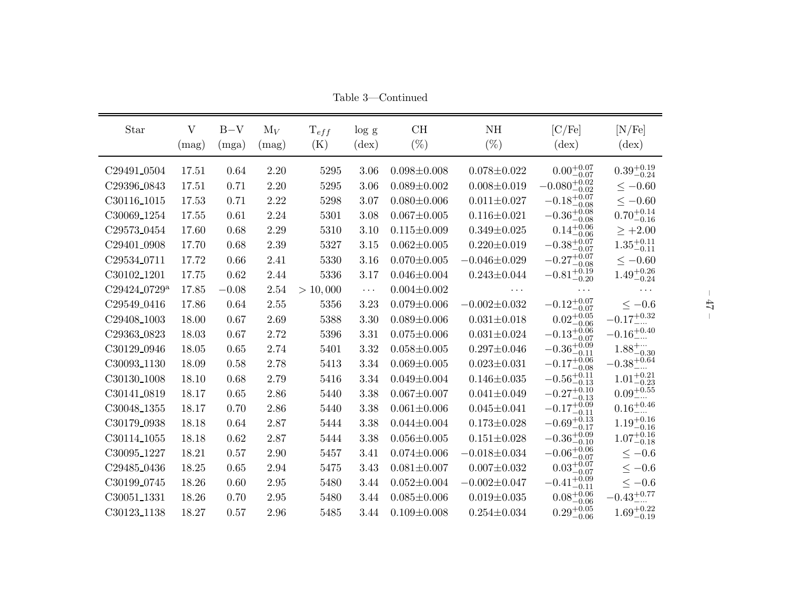| Star                     | V<br>(mag) | $B-V$<br>(mga) | $M_V$<br>(mag) | $\mathrm{T}_{eff}$<br>(K) | $\log g$<br>$(\text{dex})$ | CH<br>$(\%)$      | <b>NH</b><br>$(\%)$ | [C/Fe]<br>$(\text{dex})$           | [N/Fe]<br>$(\text{dex})$        |
|--------------------------|------------|----------------|----------------|---------------------------|----------------------------|-------------------|---------------------|------------------------------------|---------------------------------|
| C <sub>29491</sub> _0504 | 17.51      | 0.64           | 2.20           | 5295                      | 3.06                       | $0.098 \pm 0.008$ | $0.078 \pm 0.022$   | $0.00_{-0.07}^{+0.07}$             | $0.39_{-0.24}^{+0.19}$          |
| C29396_0843              | 17.51      | 0.71           | 2.20           | 5295                      | 3.06                       | $0.089 + 0.002$   | $0.008 \pm 0.019$   | $-0.080^{+0.02}_{-0.02}$           | $\leq -0.60$                    |
| C30116_1015              | 17.53      | 0.71           | 2.22           | 5298                      | 3.07                       | $0.080 \pm 0.006$ | $0.011 \pm 0.027$   | $-0.18^{+0.07}_{-0.02}$            | $\leq -0.60$                    |
| C30069 <sub>1254</sub>   | 17.55      | 0.61           | 2.24           | 5301                      | 3.08                       | $0.067 \pm 0.005$ | $0.116 \pm 0.021$   | $-0.36^{+0.08}_{-0.08}$            | $0.70^{+0.14}_{-0.16}$          |
| C29573_0454              | 17.60      | 0.68           | 2.29           | 5310                      | 3.10                       | $0.115 \pm 0.009$ | $0.349 \pm 0.025$   | $0.14^{+0.06}_{-0.06}$             | $\ge +2.00$                     |
| C29401_0908              | 17.70      | 0.68           | 2.39           | 5327                      | 3.15                       | $0.062 \pm 0.005$ | $0.220 \pm 0.019$   | $-0.38^{+0.07}_{-0.07}$            | $1.35\substack{+0.11 \\ -0.11}$ |
| C29534_0711              | 17.72      | 0.66           | 2.41           | 5330                      | 3.16                       | $0.070 \pm 0.005$ | $-0.046 \pm 0.029$  | $^{+0.07}$<br>$-0.08$              | $\leq -0.60$                    |
| C30102_1201              | 17.75      | 0.62           | 2.44           | 5336                      | 3.17                       | $0.046 \pm 0.004$ | $0.243 \pm 0.044$   | $+0.19$<br>$-0.81$<br>$-0.20$      | $1.49^{+0.26}_{-0.24}\,$        |
| C29424_0729 <sup>a</sup> | 17.85      | $-0.08$        | 2.54           | > 10,000                  | $\ddots$                   | $0.004 \pm 0.002$ |                     |                                    |                                 |
| C29549_0416              | 17.86      | 0.64           | 2.55           | 5356                      | 3.23                       | $0.079 \pm 0.006$ | $-0.002 \pm 0.032$  | $-0.12^{+0.07}_{-0.07}$            | $<-0.6$                         |
| C29408 <sub>1003</sub>   | 18.00      | 0.67           | 2.69           | 5388                      | 3.30                       | $0.089 + 0.006$   | $0.031 \pm 0.018$   | $0.02^{+0.05}_{-0.02}$<br>$-0.06$  | $-0.17^{+0.32}_{-}$             |
| C29363_0823              | 18.03      | 0.67           | 2.72           | 5396                      | 3.31                       | $0.075 \pm 0.006$ | $0.031 \pm 0.024$   | $-0.13^{+0.06}_{-0.07}$<br>$-0.07$ | $-0.16^{+0.40}_{-}$             |
| C30129_0946              | 18.05      | 0.65           | 2.74           | 5401                      | 3.32                       | $0.058 \pm 0.005$ | $0.297 \pm 0.046$   | $-0.36_{-0.11}^{+0.09}$            | $1.88^{+\cdots}_{-0.30}$        |
| C30093_1130              | 18.09      | 0.58           | 2.78           | 5413                      | 3.34                       | $0.069 + 0.005$   | $0.023 \pm 0.031$   | $-0.17^{+0.06}_{-0.08}$            | $-0.38^{+0.64}_{-}$             |
| C30130 <sub>1008</sub>   | 18.10      | 0.68           | 2.79           | 5416                      | 3.34                       | $0.049 \pm 0.004$ | $0.146 \pm 0.035$   | $-0.56^{+0.11}_{-0.13}$            | $1.01_{-0.23}^{+0.21}$          |
| C30141_0819              | 18.17      | 0.65           | 2.86           | 5440                      | 3.38                       | $0.067 \pm 0.007$ | $0.041 \pm 0.049$   | $-0.27^{+0.10}_{-0.12}$            | $0.09^{+0.55}_{-}$              |
| C30048 1355              | 18.17      | 0.70           | 2.86           | 5440                      | 3.38                       | $0.061 \pm 0.006$ | $0.045 \pm 0.041$   | $-0.17^{+0.09}_{-0.11}$            | $0.16^{+0.46}_{-}$              |
| C30179_0938              | 18.18      | 0.64           | 2.87           | 5444                      | 3.38                       | $0.044 \pm 0.004$ | $0.173 \pm 0.028$   | $-0.69^{+0.13}_{-0.17}$<br>$-0.17$ | $1.19_{-0.16}^{+0.16}$          |
| C30114 <sub>-1055</sub>  | 18.18      | 0.62           | 2.87           | 5444                      | 3.38                       | $0.056 \pm 0.005$ | $0.151 \pm 0.028$   | $-0.36^{+0.09}_{-0.10}$            | $1.07^{+0.16}_{-0.18}$          |
| C30095_1227              | 18.21      | 0.57           | 2.90           | 5457                      | 3.41                       | $0.074 \pm 0.006$ | $-0.018 \pm 0.034$  | $-0.06_{-0.07}^{+0.06}$            | $\leq -0.6$                     |
| C29485_0436              | 18.25      | 0.65           | 2.94           | 5475                      | 3.43                       | $0.081 \pm 0.007$ | $0.007 \pm 0.032$   | $0.03^{+0.07}_{-0.07}$             | $<-0.6$                         |
| C30199_0745              | 18.26      | 0.60           | 2.95           | 5480                      | 3.44                       | $0.052 \pm 0.004$ | $-0.002 \pm 0.047$  | $-0.41^{+0.09}_{-0.11}$            | $\leq -0.6$                     |
| C30051_1331              | 18.26      | 0.70           | 2.95           | 5480                      | 3.44                       | $0.085 \pm 0.006$ | $0.019 \pm 0.035$   | $0.08^{+0.06}_{-0.06}$             | $-0.43^{\rm +0.77}_{\rm -0.77}$ |
| C30123_1138              | 18.27      | 0.57           | 2.96           | 5485                      | 3.44                       | $0.109 + 0.008$   | $0.254 \pm 0.034$   | $0.29^{+0.05}_{-0.06}$             | $1.69_{-0.19}^{+0.22}$          |

Table 3—Continued

–  $2b -$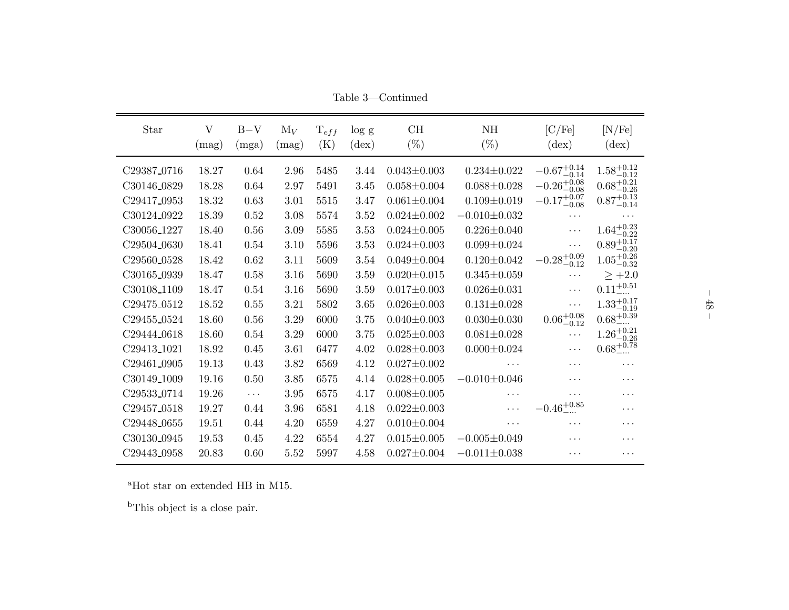Star V B−V  $M_V$  $V \tT_{eff}$  log g CH NH [C/Fe] [N/Fe]  $(\text{mag}) \quad (\text{mag}) \quad (\text{mag}) \quad (\text{K}) \quad (\text{dex}) \quad (\%)$  ( $(\%)$ ) (dex) (dex) C29387\_0716  $7\_0716$  18.27 0.64 2.96 5485 3.44  $0.043 \pm 0.003$   $0.234 \pm 0.022$   $-0.67^{+0.14}_{-0.14}$  $\frac{4}{4}$  1.58<sup>+0.12</sup> C30146\_0829  $\begin{array}{ccccccccc}\n 18.28 & 0.64 & 2.97 & 5491 & 3.45 & 0.058 \pm 0.004 & 0.088 \pm 0.028 & -0.26^{+0.08}_{-0.08} \\
18.32 & 0.63 & 3.01 & 5515 & 3.47 & 0.061 \pm 0.004 & 0.109 \pm 0.019 & -0.17^{+0.07}_{-0.08}\n \end{array}$  $\frac{8}{8}$  0.68 $\frac{+0.21}{-0.26}$ C29417<sub>-0953</sub>  $\begin{array}{cccccc} 0.63 & 3.01 & 5515 & 3.47 & 0.061 \pm 0.004 & 0.109 \pm 0.019 & -0.17^{+0.07}_{-0.08} \ 0.52 & 3.08 & 5574 & 3.52 & 0.024 \pm 0.002 & -0.010 \pm 0.032 & \cdots \end{array}$  $\begin{bmatrix} 0.07 & 0.87 + 0.13 \\ -0.08 & 0.87 - 0.14 \\ \cdots & \cdots \end{bmatrix}$ C30124<sub>-0922</sub> <sup>0922</sup> 18.39 0.52 3.08 <sup>5574</sup> 3.52 0.024±0.002 <sup>−</sup>0.010±0.032 · · · · · · C30056\_1227  $\frac{6.1227}{18.40}$   $\frac{18.40}{0.56}$   $\frac{3.09}{5585}$   $\frac{5585}{3.53}$   $\frac{0.024 \pm 0.005}{0.226 \pm 0.040}$   $\cdots$   $\frac{1.64^{+0.23}}{-0.225 \pm 0.040}$ C29504\_0630  $0.0630$  18.41  $0.54$  3.10 5596 3.53  $0.024 \pm 0.003$   $0.099 \pm 0.024$   $\cdots$   $0.89^{+0.17}_{-0.20}$ C29560\_0528  $18.42$   $0.62$   $3.11$   $5609$   $3.54$   $0.049\pm0.004$   $0.120\pm0.042$   $-0.28^{+0.09}_{-0.12}$ <br> $18.47$   $0.58$   $3.16$   $5690$   $3.59$   $0.020\pm0.015$   $0.345\pm0.059$   $\cdots$  $0.89^{+0.17}_{-0.20}$ <br>  $1.05^{+0.26}_{-0.32}$ <br>  $\geq +2.0$ C30165\_0939  $\frac{5.0939}{2}$  18.47 0.58 3.16 5690 3.59 0.020 $\pm$ 0.015 0.345 $\pm$ 0.059 · ·  $\geq$   $+2.0$ C30108\_1109 <sup>1109</sup> 18.47 0.54 3.16 <sup>5690</sup> 3.59 0.017±0.003 0.026±0.031 · · · <sup>0</sup>.11+0.<sup>51</sup>  $0.11^{+0.51}_{-...}$  $1.33\substack{+0.17 \\ -0.19}$ C29475\_0512  $5.0512$  18.52 0.55 3.21 5802 3.65 0.026±0.003 0.131±0.028 · · 1.33<sup>+0.17</sup> C29455<sub>-0524</sub>  $5\_0524$  18.60 0.56 3.29 6000 3.75 0.040 $\pm$ 0.003 0.030 $\pm$ 0.030 0.06 $^{+0.08}_{-0.12}$  $0.06^{+0.08}_{-0.12}$   $0.68^{+0.39}_{-0.12}$ <br> $\cdots$   $1.26^{+0.21}_{-0.26}$ C29444\_0618  $\frac{4.0618}{1.26}$  18.60 0.54 3.29 6000 3.75 0.025±0.003 0.081±0.028 · · · 1.26<sup>+0.21</sup> C29413\_1021  $3.1021$  18.92 0.45 3.61 6477 4.02 0.028 $\pm$ 0.003 0.000 $\pm$ 0.024 · · 0.68 $^{+0.78}_{-...}$  $0.68^{+0.78}_{-0.78}$ C29461\_0905 <sup>0905</sup> 19.13 0.43 3.82 <sup>6569</sup> 4.12 0.027±0.002 · · · · · · · · · C30149<sub>-1009</sub>  $\frac{9.1009}{2.071}$   $\frac{19.16}{2.05}$   $\frac{0.50}{0.55}$   $\frac{3.85}{0.575}$   $\frac{6575}{4.14}$   $\frac{0.028 \pm 0.005}{0.028 \pm 0.005}$   $\frac{-0.010 \pm 0.046}{0.010 \pm 0.046}$  ... C29533\_0714  $\frac{3.0714}{2}$   $\frac{19.26}{2}$   $\cdots$   $\frac{3.95}{2}$   $\frac{6575}{2}$   $\frac{4.17}{2}$   $\frac{0.008 \pm 0.005}{2}$   $\cdots$   $\cdots$   $\cdots$   $\cdots$ C29457\_0518  $7.0518$  19.27 0.44 3.96 6581 4.18 0.022 $\pm$ 0.003 · ·  $-0.46^{+0.85}$  $-0.46^{+0.85}_{-...}$  $\cdot \cdot \cdot$ C29448\_0655 <sup>0655</sup> 19.51 0.44 4.20 <sup>6559</sup> 4.27 0.010±0.004 · · · · · · · · · C30130<sub>-0945</sub> <sup>0945</sup> 19.53 0.45 4.22 <sup>6554</sup> 4.27 0.015±0.005 <sup>−</sup>0.005±0.049 · · · · · · C29443\_0958  $3.0958$  20.83 0.60 5.52 5997 4.58 0.027 $\pm$ 0.004 −0.011 $\pm$ 0.038 · · · · · · · · ·

Table 3—Continued

<sup>a</sup>Hot star on extended HB in M15.

<sup>b</sup>This object is a close pair.

– 48 –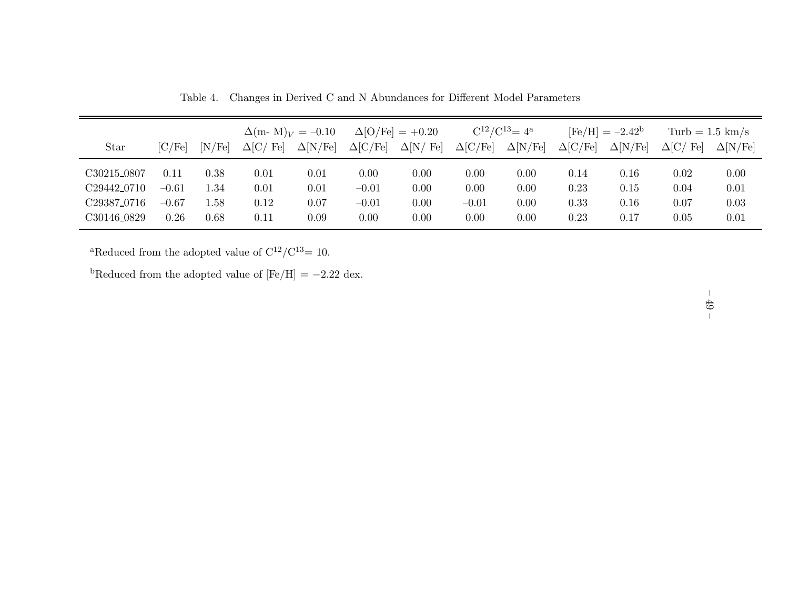|                                      |         |        | $\Delta$ (m-M) <sub>V</sub> = -0.10 |                 |                 | $\Delta[O/Fe] = +0.20$ |                 | $C^{12}/C^{13} = 4^a$ |                 | $[Fe/H] = -2.42^b$ | Turb = $1.5 \text{ km/s}$ |                 |
|--------------------------------------|---------|--------|-------------------------------------|-----------------|-----------------|------------------------|-----------------|-----------------------|-----------------|--------------------|---------------------------|-----------------|
| Star                                 | [C/Fe]  | [N/Fe] | $\Delta$ [C/Fe]                     | $\Delta$ [N/Fe] | $\Delta$ [C/Fe] | $\Delta$ [N/Fe]        | $\Delta$ [C/Fe] | $\Delta$ [N/Fe]       | $\Delta$ [C/Fe] | $\Delta$ [N/Fe]    | $\Delta$ [C/Fe]           | $\Delta$ [N/Fe] |
| C30215_0807                          | 0.11    | 0.38   | 0.01                                | 0.01            | 0.00            | 0.00                   | 0.00            | 0.00                  | 0.14            | 0.16               | 0.02                      | 0.00            |
| C <sub>29442</sub> _0710             | $-0.61$ | 1.34   | 0.01                                | 0.01            | $-0.01$         | 0.00                   | 0.00            | 0.00                  | 0.23            | 0.15               | 0.04                      | 0.01            |
| C <sub>29</sub> 387_0716             | $-0.67$ | 1.58   | 0.12                                | 0.07            | $-0.01$         | 0.00                   | $-0.01$         | 0.00                  | 0.33            | 0.16               | 0.07                      | 0.03            |
| C <sub>3</sub> 0146 <sub>-0829</sub> | $-0.26$ | 0.68   | 0.11                                | 0.09            | 0.00            | 0.00                   | 0.00            | 0.00                  | 0.23            | 0.17               | 0.05                      | 0.01            |

Table 4. Changes in Derived <sup>C</sup> and <sup>N</sup> Abundances for Different Model Parameters

aReduced from the adopted value of  $\rm C^{12}/C^{13}\rm=$  10.

 ${}^{\text{b}}\text{Reduced from the adopted value of [Fe/H]} = -2.22 \text{ dex}.$